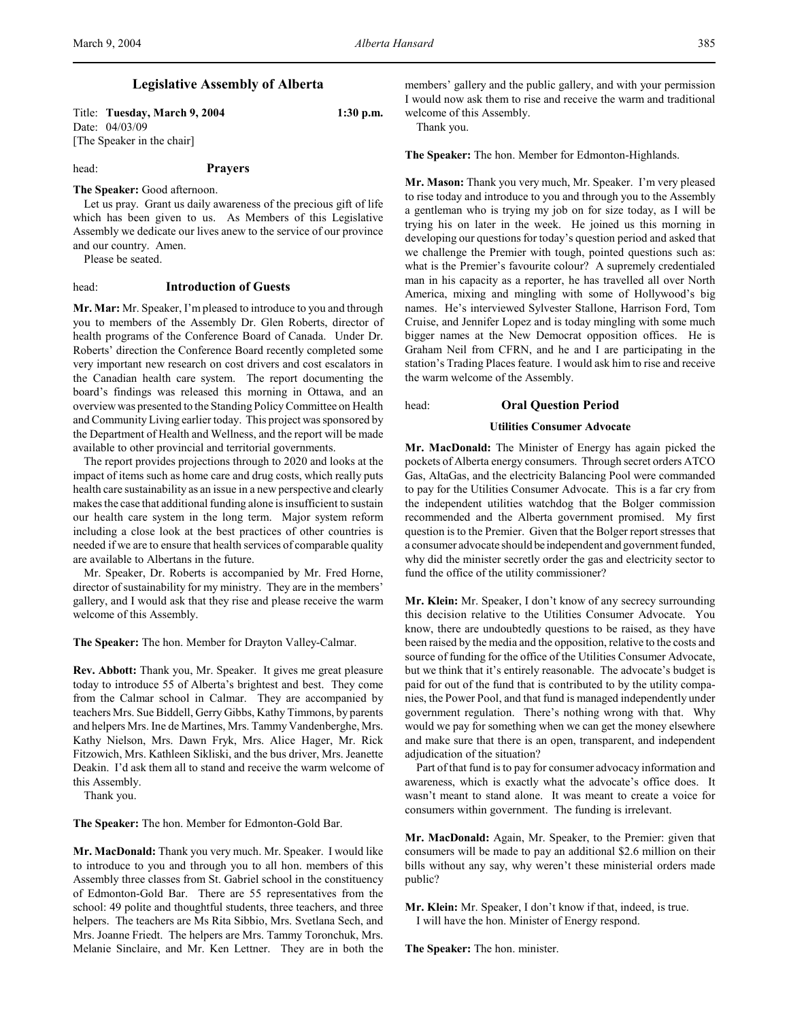Title: **Tuesday, March 9, 2004 1:30 p.m.** Date: 04/03/09 [The Speaker in the chair]

head: **Prayers**

**The Speaker:** Good afternoon.

Let us pray. Grant us daily awareness of the precious gift of life which has been given to us. As Members of this Legislative Assembly we dedicate our lives anew to the service of our province and our country. Amen.

Please be seated.

# head: **Introduction of Guests**

**Mr. Mar:** Mr. Speaker, I'm pleased to introduce to you and through you to members of the Assembly Dr. Glen Roberts, director of health programs of the Conference Board of Canada. Under Dr. Roberts' direction the Conference Board recently completed some very important new research on cost drivers and cost escalators in the Canadian health care system. The report documenting the board's findings was released this morning in Ottawa, and an overview was presented to the Standing Policy Committee on Health and Community Living earlier today. This project was sponsored by the Department of Health and Wellness, and the report will be made available to other provincial and territorial governments.

The report provides projections through to 2020 and looks at the impact of items such as home care and drug costs, which really puts health care sustainability as an issue in a new perspective and clearly makes the case that additional funding alone is insufficient to sustain our health care system in the long term. Major system reform including a close look at the best practices of other countries is needed if we are to ensure that health services of comparable quality are available to Albertans in the future.

Mr. Speaker, Dr. Roberts is accompanied by Mr. Fred Horne, director of sustainability for my ministry. They are in the members' gallery, and I would ask that they rise and please receive the warm welcome of this Assembly.

**The Speaker:** The hon. Member for Drayton Valley-Calmar.

**Rev. Abbott:** Thank you, Mr. Speaker. It gives me great pleasure today to introduce 55 of Alberta's brightest and best. They come from the Calmar school in Calmar. They are accompanied by teachers Mrs. Sue Biddell, Gerry Gibbs, Kathy Timmons, by parents and helpers Mrs. Ine de Martines, Mrs. Tammy Vandenberghe, Mrs. Kathy Nielson, Mrs. Dawn Fryk, Mrs. Alice Hager, Mr. Rick Fitzowich, Mrs. Kathleen Sikliski, and the bus driver, Mrs. Jeanette Deakin. I'd ask them all to stand and receive the warm welcome of this Assembly.

Thank you.

**The Speaker:** The hon. Member for Edmonton-Gold Bar.

**Mr. MacDonald:** Thank you very much. Mr. Speaker. I would like to introduce to you and through you to all hon. members of this Assembly three classes from St. Gabriel school in the constituency of Edmonton-Gold Bar. There are 55 representatives from the school: 49 polite and thoughtful students, three teachers, and three helpers. The teachers are Ms Rita Sibbio, Mrs. Svetlana Sech, and Mrs. Joanne Friedt. The helpers are Mrs. Tammy Toronchuk, Mrs. Melanie Sinclaire, and Mr. Ken Lettner. They are in both the members' gallery and the public gallery, and with your permission I would now ask them to rise and receive the warm and traditional welcome of this Assembly.

Thank you.

**The Speaker:** The hon. Member for Edmonton-Highlands.

**Mr. Mason:** Thank you very much, Mr. Speaker. I'm very pleased to rise today and introduce to you and through you to the Assembly a gentleman who is trying my job on for size today, as I will be trying his on later in the week. He joined us this morning in developing our questions for today's question period and asked that we challenge the Premier with tough, pointed questions such as: what is the Premier's favourite colour? A supremely credentialed man in his capacity as a reporter, he has travelled all over North America, mixing and mingling with some of Hollywood's big names. He's interviewed Sylvester Stallone, Harrison Ford, Tom Cruise, and Jennifer Lopez and is today mingling with some much bigger names at the New Democrat opposition offices. He is Graham Neil from CFRN, and he and I are participating in the station's Trading Places feature. I would ask him to rise and receive the warm welcome of the Assembly.

### head: **Oral Question Period**

# **Utilities Consumer Advocate**

**Mr. MacDonald:** The Minister of Energy has again picked the pockets of Alberta energy consumers. Through secret orders ATCO Gas, AltaGas, and the electricity Balancing Pool were commanded to pay for the Utilities Consumer Advocate. This is a far cry from the independent utilities watchdog that the Bolger commission recommended and the Alberta government promised. My first question is to the Premier. Given that the Bolger report stresses that a consumer advocate should be independent and government funded, why did the minister secretly order the gas and electricity sector to fund the office of the utility commissioner?

**Mr. Klein:** Mr. Speaker, I don't know of any secrecy surrounding this decision relative to the Utilities Consumer Advocate. You know, there are undoubtedly questions to be raised, as they have been raised by the media and the opposition, relative to the costs and source of funding for the office of the Utilities Consumer Advocate, but we think that it's entirely reasonable. The advocate's budget is paid for out of the fund that is contributed to by the utility companies, the Power Pool, and that fund is managed independently under government regulation. There's nothing wrong with that. Why would we pay for something when we can get the money elsewhere and make sure that there is an open, transparent, and independent adjudication of the situation?

Part of that fund is to pay for consumer advocacy information and awareness, which is exactly what the advocate's office does. It wasn't meant to stand alone. It was meant to create a voice for consumers within government. The funding is irrelevant.

**Mr. MacDonald:** Again, Mr. Speaker, to the Premier: given that consumers will be made to pay an additional \$2.6 million on their bills without any say, why weren't these ministerial orders made public?

**Mr. Klein:** Mr. Speaker, I don't know if that, indeed, is true. I will have the hon. Minister of Energy respond.

**The Speaker:** The hon. minister.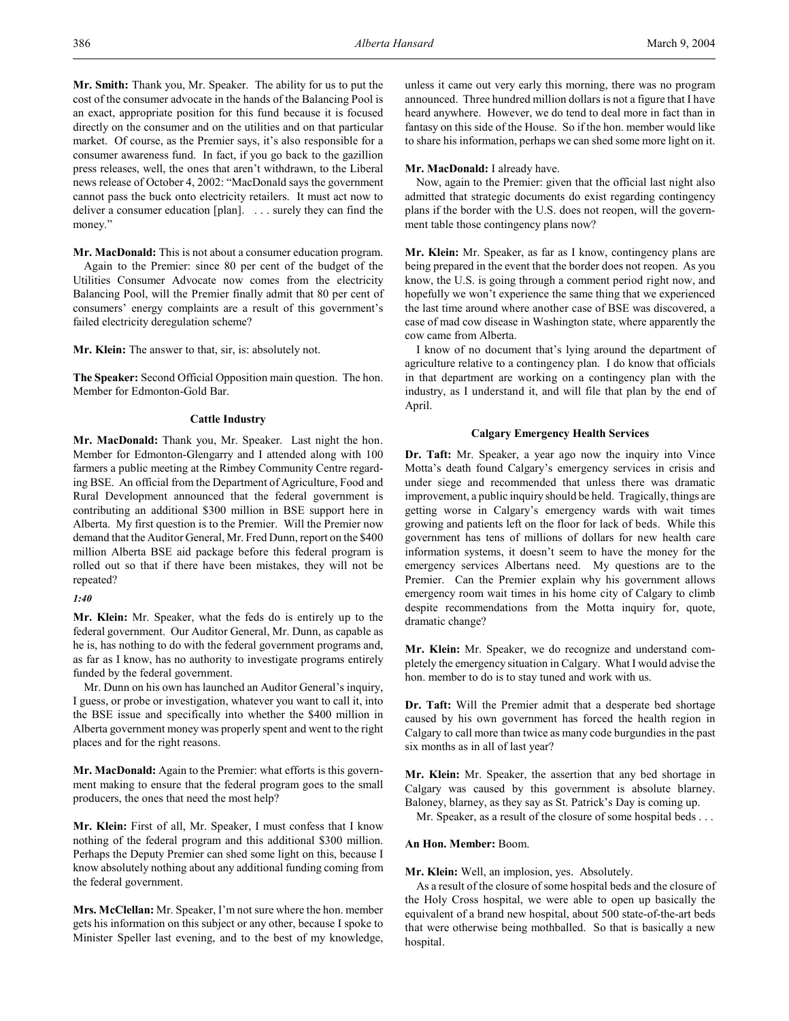**Mr. Smith:** Thank you, Mr. Speaker. The ability for us to put the cost of the consumer advocate in the hands of the Balancing Pool is an exact, appropriate position for this fund because it is focused directly on the consumer and on the utilities and on that particular market. Of course, as the Premier says, it's also responsible for a consumer awareness fund. In fact, if you go back to the gazillion press releases, well, the ones that aren't withdrawn, to the Liberal news release of October 4, 2002: "MacDonald says the government cannot pass the buck onto electricity retailers. It must act now to deliver a consumer education [plan]. . . . surely they can find the money."

**Mr. MacDonald:** This is not about a consumer education program. Again to the Premier: since 80 per cent of the budget of the Utilities Consumer Advocate now comes from the electricity Balancing Pool, will the Premier finally admit that 80 per cent of consumers' energy complaints are a result of this government's failed electricity deregulation scheme?

**Mr. Klein:** The answer to that, sir, is: absolutely not.

**The Speaker:** Second Official Opposition main question. The hon. Member for Edmonton-Gold Bar.

# **Cattle Industry**

**Mr. MacDonald:** Thank you, Mr. Speaker. Last night the hon. Member for Edmonton-Glengarry and I attended along with 100 farmers a public meeting at the Rimbey Community Centre regarding BSE. An official from the Department of Agriculture, Food and Rural Development announced that the federal government is contributing an additional \$300 million in BSE support here in Alberta. My first question is to the Premier. Will the Premier now demand that the Auditor General, Mr. Fred Dunn, report on the \$400 million Alberta BSE aid package before this federal program is rolled out so that if there have been mistakes, they will not be repeated?

#### *1:40*

**Mr. Klein:** Mr. Speaker, what the feds do is entirely up to the federal government. Our Auditor General, Mr. Dunn, as capable as he is, has nothing to do with the federal government programs and, as far as I know, has no authority to investigate programs entirely funded by the federal government.

Mr. Dunn on his own has launched an Auditor General's inquiry, I guess, or probe or investigation, whatever you want to call it, into the BSE issue and specifically into whether the \$400 million in Alberta government money was properly spent and went to the right places and for the right reasons.

**Mr. MacDonald:** Again to the Premier: what efforts is this government making to ensure that the federal program goes to the small producers, the ones that need the most help?

**Mr. Klein:** First of all, Mr. Speaker, I must confess that I know nothing of the federal program and this additional \$300 million. Perhaps the Deputy Premier can shed some light on this, because I know absolutely nothing about any additional funding coming from the federal government.

**Mrs. McClellan:** Mr. Speaker, I'm not sure where the hon. member gets his information on this subject or any other, because I spoke to Minister Speller last evening, and to the best of my knowledge,

unless it came out very early this morning, there was no program announced. Three hundred million dollars is not a figure that I have heard anywhere. However, we do tend to deal more in fact than in fantasy on this side of the House. So if the hon. member would like to share his information, perhaps we can shed some more light on it.

#### **Mr. MacDonald:** I already have.

Now, again to the Premier: given that the official last night also admitted that strategic documents do exist regarding contingency plans if the border with the U.S. does not reopen, will the government table those contingency plans now?

**Mr. Klein:** Mr. Speaker, as far as I know, contingency plans are being prepared in the event that the border does not reopen. As you know, the U.S. is going through a comment period right now, and hopefully we won't experience the same thing that we experienced the last time around where another case of BSE was discovered, a case of mad cow disease in Washington state, where apparently the cow came from Alberta.

I know of no document that's lying around the department of agriculture relative to a contingency plan. I do know that officials in that department are working on a contingency plan with the industry, as I understand it, and will file that plan by the end of April.

# **Calgary Emergency Health Services**

**Dr. Taft:** Mr. Speaker, a year ago now the inquiry into Vince Motta's death found Calgary's emergency services in crisis and under siege and recommended that unless there was dramatic improvement, a public inquiry should be held. Tragically, things are getting worse in Calgary's emergency wards with wait times growing and patients left on the floor for lack of beds. While this government has tens of millions of dollars for new health care information systems, it doesn't seem to have the money for the emergency services Albertans need. My questions are to the Premier. Can the Premier explain why his government allows emergency room wait times in his home city of Calgary to climb despite recommendations from the Motta inquiry for, quote, dramatic change?

**Mr. Klein:** Mr. Speaker, we do recognize and understand completely the emergency situation in Calgary. What I would advise the hon. member to do is to stay tuned and work with us.

**Dr. Taft:** Will the Premier admit that a desperate bed shortage caused by his own government has forced the health region in Calgary to call more than twice as many code burgundies in the past six months as in all of last year?

**Mr. Klein:** Mr. Speaker, the assertion that any bed shortage in Calgary was caused by this government is absolute blarney. Baloney, blarney, as they say as St. Patrick's Day is coming up.

Mr. Speaker, as a result of the closure of some hospital beds . . .

# **An Hon. Member:** Boom.

**Mr. Klein:** Well, an implosion, yes. Absolutely.

As a result of the closure of some hospital beds and the closure of the Holy Cross hospital, we were able to open up basically the equivalent of a brand new hospital, about 500 state-of-the-art beds that were otherwise being mothballed. So that is basically a new hospital.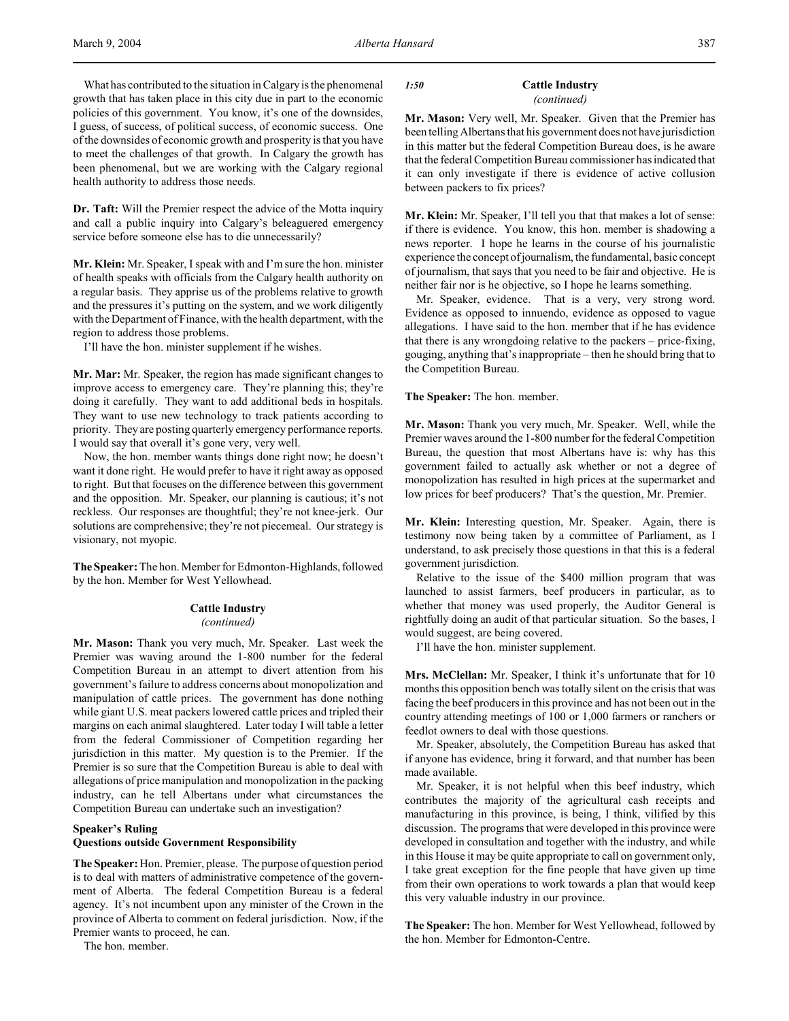What has contributed to the situation in Calgary is the phenomenal growth that has taken place in this city due in part to the economic policies of this government. You know, it's one of the downsides, I guess, of success, of political success, of economic success. One of the downsides of economic growth and prosperity is that you have to meet the challenges of that growth. In Calgary the growth has been phenomenal, but we are working with the Calgary regional health authority to address those needs.

**Dr. Taft:** Will the Premier respect the advice of the Motta inquiry and call a public inquiry into Calgary's beleaguered emergency service before someone else has to die unnecessarily?

**Mr. Klein:** Mr. Speaker, I speak with and I'm sure the hon. minister of health speaks with officials from the Calgary health authority on a regular basis. They apprise us of the problems relative to growth and the pressures it's putting on the system, and we work diligently with the Department of Finance, with the health department, with the region to address those problems.

I'll have the hon. minister supplement if he wishes.

**Mr. Mar:** Mr. Speaker, the region has made significant changes to improve access to emergency care. They're planning this; they're doing it carefully. They want to add additional beds in hospitals. They want to use new technology to track patients according to priority. They are posting quarterly emergency performance reports. I would say that overall it's gone very, very well.

Now, the hon. member wants things done right now; he doesn't want it done right. He would prefer to have it right away as opposed to right. But that focuses on the difference between this government and the opposition. Mr. Speaker, our planning is cautious; it's not reckless. Our responses are thoughtful; they're not knee-jerk. Our solutions are comprehensive; they're not piecemeal. Our strategy is visionary, not myopic.

**The Speaker:** The hon. Member for Edmonton-Highlands, followed by the hon. Member for West Yellowhead.

### **Cattle Industry**

#### *(continued)*

**Mr. Mason:** Thank you very much, Mr. Speaker. Last week the Premier was waving around the 1-800 number for the federal Competition Bureau in an attempt to divert attention from his government's failure to address concerns about monopolization and manipulation of cattle prices. The government has done nothing while giant U.S. meat packers lowered cattle prices and tripled their margins on each animal slaughtered. Later today I will table a letter from the federal Commissioner of Competition regarding her jurisdiction in this matter. My question is to the Premier. If the Premier is so sure that the Competition Bureau is able to deal with allegations of price manipulation and monopolization in the packing industry, can he tell Albertans under what circumstances the Competition Bureau can undertake such an investigation?

# **Speaker's Ruling**

# **Questions outside Government Responsibility**

**The Speaker:** Hon. Premier, please. The purpose of question period is to deal with matters of administrative competence of the government of Alberta. The federal Competition Bureau is a federal agency. It's not incumbent upon any minister of the Crown in the province of Alberta to comment on federal jurisdiction. Now, if the Premier wants to proceed, he can.

The hon. member.

*1:50* **Cattle Industry**

*(continued)*

**Mr. Mason:** Very well, Mr. Speaker. Given that the Premier has been telling Albertans that his government does not have jurisdiction in this matter but the federal Competition Bureau does, is he aware that the federal Competition Bureau commissioner has indicated that it can only investigate if there is evidence of active collusion between packers to fix prices?

**Mr. Klein:** Mr. Speaker, I'll tell you that that makes a lot of sense: if there is evidence. You know, this hon. member is shadowing a news reporter. I hope he learns in the course of his journalistic experience the concept of journalism, the fundamental, basic concept of journalism, that says that you need to be fair and objective. He is neither fair nor is he objective, so I hope he learns something.

Mr. Speaker, evidence. That is a very, very strong word. Evidence as opposed to innuendo, evidence as opposed to vague allegations. I have said to the hon. member that if he has evidence that there is any wrongdoing relative to the packers – price-fixing, gouging, anything that's inappropriate – then he should bring that to the Competition Bureau.

### **The Speaker:** The hon. member.

**Mr. Mason:** Thank you very much, Mr. Speaker. Well, while the Premier waves around the 1-800 number for the federal Competition Bureau, the question that most Albertans have is: why has this government failed to actually ask whether or not a degree of monopolization has resulted in high prices at the supermarket and low prices for beef producers? That's the question, Mr. Premier.

**Mr. Klein:** Interesting question, Mr. Speaker. Again, there is testimony now being taken by a committee of Parliament, as I understand, to ask precisely those questions in that this is a federal government jurisdiction.

Relative to the issue of the \$400 million program that was launched to assist farmers, beef producers in particular, as to whether that money was used properly, the Auditor General is rightfully doing an audit of that particular situation. So the bases, I would suggest, are being covered.

I'll have the hon. minister supplement.

**Mrs. McClellan:** Mr. Speaker, I think it's unfortunate that for 10 months this opposition bench was totally silent on the crisis that was facing the beef producers in this province and has not been out in the country attending meetings of 100 or 1,000 farmers or ranchers or feedlot owners to deal with those questions.

Mr. Speaker, absolutely, the Competition Bureau has asked that if anyone has evidence, bring it forward, and that number has been made available.

Mr. Speaker, it is not helpful when this beef industry, which contributes the majority of the agricultural cash receipts and manufacturing in this province, is being, I think, vilified by this discussion. The programs that were developed in this province were developed in consultation and together with the industry, and while in this House it may be quite appropriate to call on government only, I take great exception for the fine people that have given up time from their own operations to work towards a plan that would keep this very valuable industry in our province.

**The Speaker:** The hon. Member for West Yellowhead, followed by the hon. Member for Edmonton-Centre.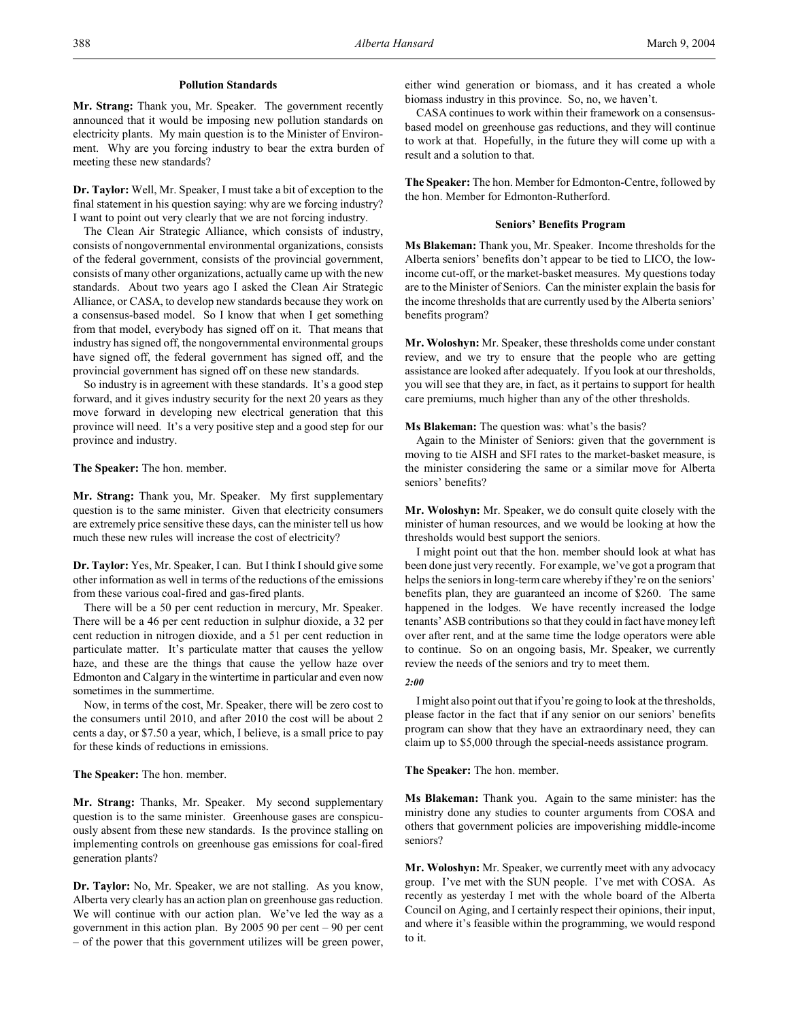### **Pollution Standards**

**Mr. Strang:** Thank you, Mr. Speaker. The government recently announced that it would be imposing new pollution standards on electricity plants. My main question is to the Minister of Environment. Why are you forcing industry to bear the extra burden of meeting these new standards?

**Dr. Taylor:** Well, Mr. Speaker, I must take a bit of exception to the final statement in his question saying: why are we forcing industry? I want to point out very clearly that we are not forcing industry.

The Clean Air Strategic Alliance, which consists of industry, consists of nongovernmental environmental organizations, consists of the federal government, consists of the provincial government, consists of many other organizations, actually came up with the new standards. About two years ago I asked the Clean Air Strategic Alliance, or CASA, to develop new standards because they work on a consensus-based model. So I know that when I get something from that model, everybody has signed off on it. That means that industry has signed off, the nongovernmental environmental groups have signed off, the federal government has signed off, and the provincial government has signed off on these new standards.

So industry is in agreement with these standards. It's a good step forward, and it gives industry security for the next 20 years as they move forward in developing new electrical generation that this province will need. It's a very positive step and a good step for our province and industry.

**The Speaker:** The hon. member.

**Mr. Strang:** Thank you, Mr. Speaker. My first supplementary question is to the same minister. Given that electricity consumers are extremely price sensitive these days, can the minister tell us how much these new rules will increase the cost of electricity?

**Dr. Taylor:** Yes, Mr. Speaker, I can. But I think I should give some other information as well in terms of the reductions of the emissions from these various coal-fired and gas-fired plants.

There will be a 50 per cent reduction in mercury, Mr. Speaker. There will be a 46 per cent reduction in sulphur dioxide, a 32 per cent reduction in nitrogen dioxide, and a 51 per cent reduction in particulate matter. It's particulate matter that causes the yellow haze, and these are the things that cause the yellow haze over Edmonton and Calgary in the wintertime in particular and even now sometimes in the summertime.

Now, in terms of the cost, Mr. Speaker, there will be zero cost to the consumers until 2010, and after 2010 the cost will be about 2 cents a day, or \$7.50 a year, which, I believe, is a small price to pay for these kinds of reductions in emissions.

**The Speaker:** The hon. member.

**Mr. Strang:** Thanks, Mr. Speaker. My second supplementary question is to the same minister. Greenhouse gases are conspicuously absent from these new standards. Is the province stalling on implementing controls on greenhouse gas emissions for coal-fired generation plants?

**Dr. Taylor:** No, Mr. Speaker, we are not stalling. As you know, Alberta very clearly has an action plan on greenhouse gas reduction. We will continue with our action plan. We've led the way as a government in this action plan. By 2005 90 per cent – 90 per cent – of the power that this government utilizes will be green power, either wind generation or biomass, and it has created a whole biomass industry in this province. So, no, we haven't.

CASA continues to work within their framework on a consensusbased model on greenhouse gas reductions, and they will continue to work at that. Hopefully, in the future they will come up with a result and a solution to that.

**The Speaker:** The hon. Member for Edmonton-Centre, followed by the hon. Member for Edmonton-Rutherford.

# **Seniors' Benefits Program**

**Ms Blakeman:** Thank you, Mr. Speaker. Income thresholds for the Alberta seniors' benefits don't appear to be tied to LICO, the lowincome cut-off, or the market-basket measures. My questions today are to the Minister of Seniors. Can the minister explain the basis for the income thresholds that are currently used by the Alberta seniors' benefits program?

**Mr. Woloshyn:** Mr. Speaker, these thresholds come under constant review, and we try to ensure that the people who are getting assistance are looked after adequately. If you look at our thresholds, you will see that they are, in fact, as it pertains to support for health care premiums, much higher than any of the other thresholds.

**Ms Blakeman:** The question was: what's the basis?

Again to the Minister of Seniors: given that the government is moving to tie AISH and SFI rates to the market-basket measure, is the minister considering the same or a similar move for Alberta seniors' benefits?

**Mr. Woloshyn:** Mr. Speaker, we do consult quite closely with the minister of human resources, and we would be looking at how the thresholds would best support the seniors.

I might point out that the hon. member should look at what has been done just very recently. For example, we've got a program that helps the seniors in long-term care whereby if they're on the seniors' benefits plan, they are guaranteed an income of \$260. The same happened in the lodges. We have recently increased the lodge tenants' ASB contributions so that they could in fact have money left over after rent, and at the same time the lodge operators were able to continue. So on an ongoing basis, Mr. Speaker, we currently review the needs of the seniors and try to meet them.

*2:00*

I might also point out that if you're going to look at the thresholds, please factor in the fact that if any senior on our seniors' benefits program can show that they have an extraordinary need, they can claim up to \$5,000 through the special-needs assistance program.

**The Speaker:** The hon. member.

**Ms Blakeman:** Thank you. Again to the same minister: has the ministry done any studies to counter arguments from COSA and others that government policies are impoverishing middle-income seniors?

**Mr. Woloshyn:** Mr. Speaker, we currently meet with any advocacy group. I've met with the SUN people. I've met with COSA. As recently as yesterday I met with the whole board of the Alberta Council on Aging, and I certainly respect their opinions, their input, and where it's feasible within the programming, we would respond to it.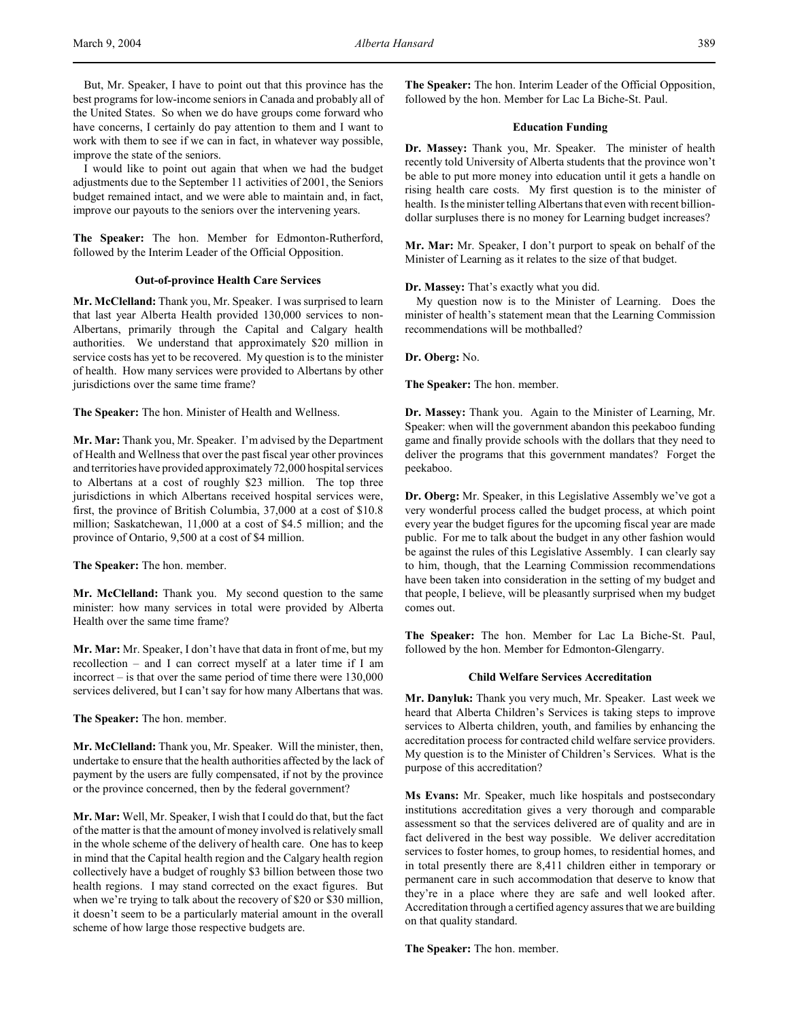But, Mr. Speaker, I have to point out that this province has the best programs for low-income seniors in Canada and probably all of the United States. So when we do have groups come forward who have concerns, I certainly do pay attention to them and I want to work with them to see if we can in fact, in whatever way possible, improve the state of the seniors.

I would like to point out again that when we had the budget adjustments due to the September 11 activities of 2001, the Seniors budget remained intact, and we were able to maintain and, in fact, improve our payouts to the seniors over the intervening years.

**The Speaker:** The hon. Member for Edmonton-Rutherford, followed by the Interim Leader of the Official Opposition.

# **Out-of-province Health Care Services**

**Mr. McClelland:** Thank you, Mr. Speaker. I was surprised to learn that last year Alberta Health provided 130,000 services to non-Albertans, primarily through the Capital and Calgary health authorities. We understand that approximately \$20 million in service costs has yet to be recovered. My question is to the minister of health. How many services were provided to Albertans by other jurisdictions over the same time frame?

**The Speaker:** The hon. Minister of Health and Wellness.

**Mr. Mar:** Thank you, Mr. Speaker. I'm advised by the Department of Health and Wellness that over the past fiscal year other provinces and territories have provided approximately 72,000 hospital services to Albertans at a cost of roughly \$23 million. The top three jurisdictions in which Albertans received hospital services were, first, the province of British Columbia, 37,000 at a cost of \$10.8 million; Saskatchewan, 11,000 at a cost of \$4.5 million; and the province of Ontario, 9,500 at a cost of \$4 million.

**The Speaker:** The hon. member.

**Mr. McClelland:** Thank you. My second question to the same minister: how many services in total were provided by Alberta Health over the same time frame?

**Mr. Mar:** Mr. Speaker, I don't have that data in front of me, but my recollection – and I can correct myself at a later time if I am incorrect – is that over the same period of time there were 130,000 services delivered, but I can't say for how many Albertans that was.

**The Speaker:** The hon. member.

**Mr. McClelland:** Thank you, Mr. Speaker. Will the minister, then, undertake to ensure that the health authorities affected by the lack of payment by the users are fully compensated, if not by the province or the province concerned, then by the federal government?

**Mr. Mar:** Well, Mr. Speaker, I wish that I could do that, but the fact of the matter is that the amount of money involved is relatively small in the whole scheme of the delivery of health care. One has to keep in mind that the Capital health region and the Calgary health region collectively have a budget of roughly \$3 billion between those two health regions. I may stand corrected on the exact figures. But when we're trying to talk about the recovery of \$20 or \$30 million, it doesn't seem to be a particularly material amount in the overall scheme of how large those respective budgets are.

**The Speaker:** The hon. Interim Leader of the Official Opposition, followed by the hon. Member for Lac La Biche-St. Paul.

#### **Education Funding**

**Dr. Massey:** Thank you, Mr. Speaker. The minister of health recently told University of Alberta students that the province won't be able to put more money into education until it gets a handle on rising health care costs. My first question is to the minister of health. Is the minister telling Albertans that even with recent billiondollar surpluses there is no money for Learning budget increases?

**Mr. Mar:** Mr. Speaker, I don't purport to speak on behalf of the Minister of Learning as it relates to the size of that budget.

#### **Dr. Massey:** That's exactly what you did.

My question now is to the Minister of Learning. Does the minister of health's statement mean that the Learning Commission recommendations will be mothballed?

**Dr. Oberg:** No.

**The Speaker:** The hon. member.

**Dr. Massey:** Thank you. Again to the Minister of Learning, Mr. Speaker: when will the government abandon this peekaboo funding game and finally provide schools with the dollars that they need to deliver the programs that this government mandates? Forget the peekaboo.

**Dr. Oberg:** Mr. Speaker, in this Legislative Assembly we've got a very wonderful process called the budget process, at which point every year the budget figures for the upcoming fiscal year are made public. For me to talk about the budget in any other fashion would be against the rules of this Legislative Assembly. I can clearly say to him, though, that the Learning Commission recommendations have been taken into consideration in the setting of my budget and that people, I believe, will be pleasantly surprised when my budget comes out.

**The Speaker:** The hon. Member for Lac La Biche-St. Paul, followed by the hon. Member for Edmonton-Glengarry.

# **Child Welfare Services Accreditation**

**Mr. Danyluk:** Thank you very much, Mr. Speaker. Last week we heard that Alberta Children's Services is taking steps to improve services to Alberta children, youth, and families by enhancing the accreditation process for contracted child welfare service providers. My question is to the Minister of Children's Services. What is the purpose of this accreditation?

**Ms Evans:** Mr. Speaker, much like hospitals and postsecondary institutions accreditation gives a very thorough and comparable assessment so that the services delivered are of quality and are in fact delivered in the best way possible. We deliver accreditation services to foster homes, to group homes, to residential homes, and in total presently there are 8,411 children either in temporary or permanent care in such accommodation that deserve to know that they're in a place where they are safe and well looked after. Accreditation through a certified agency assures that we are building on that quality standard.

**The Speaker:** The hon. member.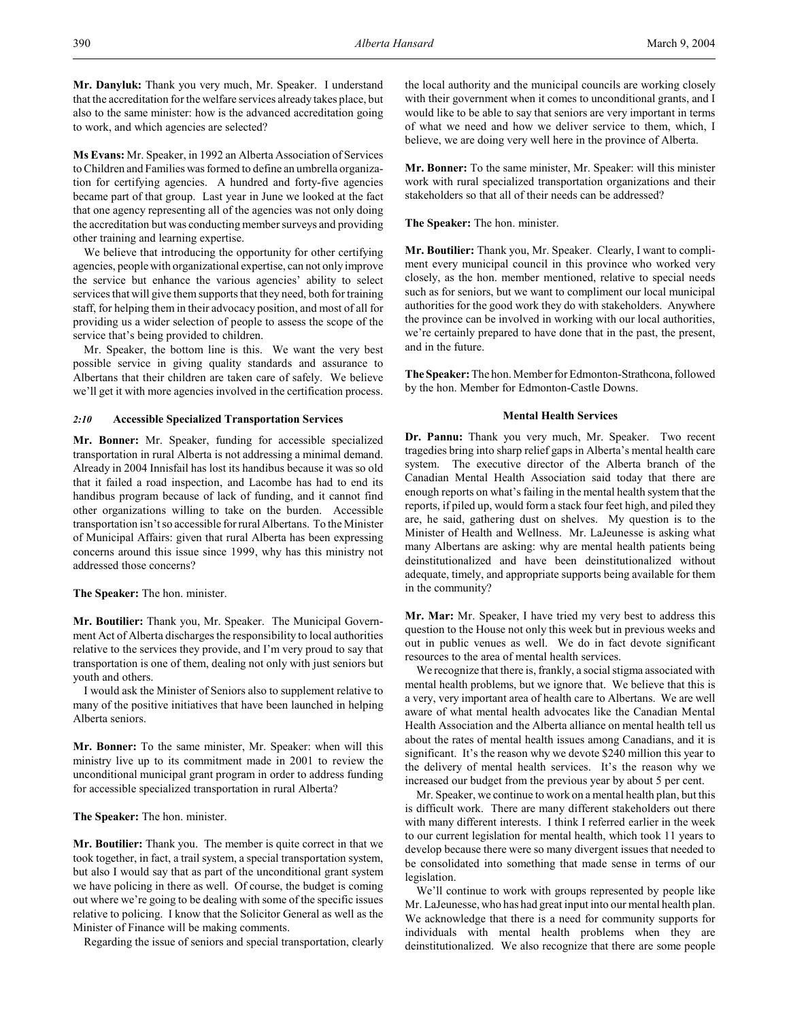**Mr. Danyluk:** Thank you very much, Mr. Speaker. I understand that the accreditation for the welfare services already takes place, but also to the same minister: how is the advanced accreditation going to work, and which agencies are selected?

**Ms Evans:** Mr. Speaker, in 1992 an Alberta Association of Services to Children and Families was formed to define an umbrella organization for certifying agencies. A hundred and forty-five agencies became part of that group. Last year in June we looked at the fact that one agency representing all of the agencies was not only doing the accreditation but was conducting member surveys and providing other training and learning expertise.

We believe that introducing the opportunity for other certifying agencies, people with organizational expertise, can not only improve the service but enhance the various agencies' ability to select services that will give them supports that they need, both for training staff, for helping them in their advocacy position, and most of all for providing us a wider selection of people to assess the scope of the service that's being provided to children.

Mr. Speaker, the bottom line is this. We want the very best possible service in giving quality standards and assurance to Albertans that their children are taken care of safely. We believe we'll get it with more agencies involved in the certification process.

# *2:10* **Accessible Specialized Transportation Services**

**Mr. Bonner:** Mr. Speaker, funding for accessible specialized transportation in rural Alberta is not addressing a minimal demand. Already in 2004 Innisfail has lost its handibus because it was so old that it failed a road inspection, and Lacombe has had to end its handibus program because of lack of funding, and it cannot find other organizations willing to take on the burden. Accessible transportation isn't so accessible for rural Albertans. To the Minister of Municipal Affairs: given that rural Alberta has been expressing concerns around this issue since 1999, why has this ministry not addressed those concerns?

# **The Speaker:** The hon. minister.

**Mr. Boutilier:** Thank you, Mr. Speaker. The Municipal Government Act of Alberta discharges the responsibility to local authorities relative to the services they provide, and I'm very proud to say that transportation is one of them, dealing not only with just seniors but youth and others.

I would ask the Minister of Seniors also to supplement relative to many of the positive initiatives that have been launched in helping Alberta seniors.

**Mr. Bonner:** To the same minister, Mr. Speaker: when will this ministry live up to its commitment made in 2001 to review the unconditional municipal grant program in order to address funding for accessible specialized transportation in rural Alberta?

**The Speaker:** The hon. minister.

**Mr. Boutilier:** Thank you. The member is quite correct in that we took together, in fact, a trail system, a special transportation system, but also I would say that as part of the unconditional grant system we have policing in there as well. Of course, the budget is coming out where we're going to be dealing with some of the specific issues relative to policing. I know that the Solicitor General as well as the Minister of Finance will be making comments.

Regarding the issue of seniors and special transportation, clearly

the local authority and the municipal councils are working closely with their government when it comes to unconditional grants, and I would like to be able to say that seniors are very important in terms of what we need and how we deliver service to them, which, I believe, we are doing very well here in the province of Alberta.

**Mr. Bonner:** To the same minister, Mr. Speaker: will this minister work with rural specialized transportation organizations and their stakeholders so that all of their needs can be addressed?

**The Speaker:** The hon. minister.

**Mr. Boutilier:** Thank you, Mr. Speaker. Clearly, I want to compliment every municipal council in this province who worked very closely, as the hon. member mentioned, relative to special needs such as for seniors, but we want to compliment our local municipal authorities for the good work they do with stakeholders. Anywhere the province can be involved in working with our local authorities, we're certainly prepared to have done that in the past, the present, and in the future.

**The Speaker:** The hon. Member for Edmonton-Strathcona, followed by the hon. Member for Edmonton-Castle Downs.

### **Mental Health Services**

**Dr. Pannu:** Thank you very much, Mr. Speaker. Two recent tragedies bring into sharp relief gaps in Alberta's mental health care system. The executive director of the Alberta branch of the Canadian Mental Health Association said today that there are enough reports on what's failing in the mental health system that the reports, if piled up, would form a stack four feet high, and piled they are, he said, gathering dust on shelves. My question is to the Minister of Health and Wellness. Mr. LaJeunesse is asking what many Albertans are asking: why are mental health patients being deinstitutionalized and have been deinstitutionalized without adequate, timely, and appropriate supports being available for them in the community?

**Mr. Mar:** Mr. Speaker, I have tried my very best to address this question to the House not only this week but in previous weeks and out in public venues as well. We do in fact devote significant resources to the area of mental health services.

We recognize that there is, frankly, a social stigma associated with mental health problems, but we ignore that. We believe that this is a very, very important area of health care to Albertans. We are well aware of what mental health advocates like the Canadian Mental Health Association and the Alberta alliance on mental health tell us about the rates of mental health issues among Canadians, and it is significant. It's the reason why we devote \$240 million this year to the delivery of mental health services. It's the reason why we increased our budget from the previous year by about 5 per cent.

Mr. Speaker, we continue to work on a mental health plan, but this is difficult work. There are many different stakeholders out there with many different interests. I think I referred earlier in the week to our current legislation for mental health, which took 11 years to develop because there were so many divergent issues that needed to be consolidated into something that made sense in terms of our legislation.

We'll continue to work with groups represented by people like Mr. LaJeunesse, who has had great input into our mental health plan. We acknowledge that there is a need for community supports for individuals with mental health problems when they are deinstitutionalized. We also recognize that there are some people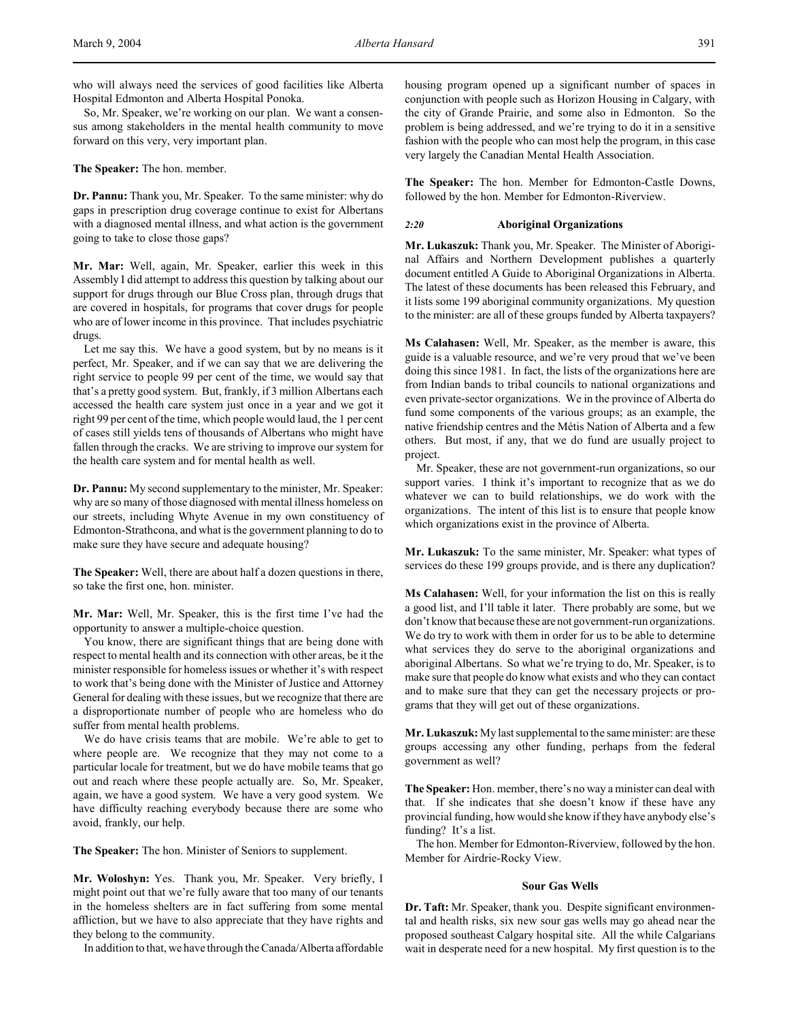who will always need the services of good facilities like Alberta Hospital Edmonton and Alberta Hospital Ponoka.

So, Mr. Speaker, we're working on our plan. We want a consensus among stakeholders in the mental health community to move forward on this very, very important plan.

**The Speaker:** The hon. member.

**Dr. Pannu:** Thank you, Mr. Speaker. To the same minister: why do gaps in prescription drug coverage continue to exist for Albertans with a diagnosed mental illness, and what action is the government going to take to close those gaps?

**Mr. Mar:** Well, again, Mr. Speaker, earlier this week in this Assembly I did attempt to address this question by talking about our support for drugs through our Blue Cross plan, through drugs that are covered in hospitals, for programs that cover drugs for people who are of lower income in this province. That includes psychiatric drugs.

Let me say this. We have a good system, but by no means is it perfect, Mr. Speaker, and if we can say that we are delivering the right service to people 99 per cent of the time, we would say that that's a pretty good system. But, frankly, if 3 million Albertans each accessed the health care system just once in a year and we got it right 99 per cent of the time, which people would laud, the 1 per cent of cases still yields tens of thousands of Albertans who might have fallen through the cracks. We are striving to improve our system for the health care system and for mental health as well.

**Dr. Pannu:** My second supplementary to the minister, Mr. Speaker: why are so many of those diagnosed with mental illness homeless on our streets, including Whyte Avenue in my own constituency of Edmonton-Strathcona, and what is the government planning to do to make sure they have secure and adequate housing?

**The Speaker:** Well, there are about half a dozen questions in there, so take the first one, hon. minister.

**Mr. Mar:** Well, Mr. Speaker, this is the first time I've had the opportunity to answer a multiple-choice question.

You know, there are significant things that are being done with respect to mental health and its connection with other areas, be it the minister responsible for homeless issues or whether it's with respect to work that's being done with the Minister of Justice and Attorney General for dealing with these issues, but we recognize that there are a disproportionate number of people who are homeless who do suffer from mental health problems.

We do have crisis teams that are mobile. We're able to get to where people are. We recognize that they may not come to a particular locale for treatment, but we do have mobile teams that go out and reach where these people actually are. So, Mr. Speaker, again, we have a good system. We have a very good system. We have difficulty reaching everybody because there are some who avoid, frankly, our help.

**The Speaker:** The hon. Minister of Seniors to supplement.

**Mr. Woloshyn:** Yes. Thank you, Mr. Speaker. Very briefly, I might point out that we're fully aware that too many of our tenants in the homeless shelters are in fact suffering from some mental affliction, but we have to also appreciate that they have rights and they belong to the community.

In addition to that, we have through the Canada/Alberta affordable

housing program opened up a significant number of spaces in conjunction with people such as Horizon Housing in Calgary, with the city of Grande Prairie, and some also in Edmonton. So the problem is being addressed, and we're trying to do it in a sensitive fashion with the people who can most help the program, in this case very largely the Canadian Mental Health Association.

**The Speaker:** The hon. Member for Edmonton-Castle Downs, followed by the hon. Member for Edmonton-Riverview.

#### *2:20* **Aboriginal Organizations**

**Mr. Lukaszuk:** Thank you, Mr. Speaker. The Minister of Aboriginal Affairs and Northern Development publishes a quarterly document entitled A Guide to Aboriginal Organizations in Alberta. The latest of these documents has been released this February, and it lists some 199 aboriginal community organizations. My question to the minister: are all of these groups funded by Alberta taxpayers?

**Ms Calahasen:** Well, Mr. Speaker, as the member is aware, this guide is a valuable resource, and we're very proud that we've been doing this since 1981. In fact, the lists of the organizations here are from Indian bands to tribal councils to national organizations and even private-sector organizations. We in the province of Alberta do fund some components of the various groups; as an example, the native friendship centres and the Métis Nation of Alberta and a few others. But most, if any, that we do fund are usually project to project.

Mr. Speaker, these are not government-run organizations, so our support varies. I think it's important to recognize that as we do whatever we can to build relationships, we do work with the organizations. The intent of this list is to ensure that people know which organizations exist in the province of Alberta.

**Mr. Lukaszuk:** To the same minister, Mr. Speaker: what types of services do these 199 groups provide, and is there any duplication?

**Ms Calahasen:** Well, for your information the list on this is really a good list, and I'll table it later. There probably are some, but we don't know that because these are not government-run organizations. We do try to work with them in order for us to be able to determine what services they do serve to the aboriginal organizations and aboriginal Albertans. So what we're trying to do, Mr. Speaker, is to make sure that people do know what exists and who they can contact and to make sure that they can get the necessary projects or programs that they will get out of these organizations.

**Mr. Lukaszuk:** My last supplemental to the same minister: are these groups accessing any other funding, perhaps from the federal government as well?

**The Speaker:** Hon. member, there's no way a minister can deal with that. If she indicates that she doesn't know if these have any provincial funding, how would she know if they have anybody else's funding? It's a list.

The hon. Member for Edmonton-Riverview, followed by the hon. Member for Airdrie-Rocky View.

# **Sour Gas Wells**

**Dr. Taft:** Mr. Speaker, thank you. Despite significant environmental and health risks, six new sour gas wells may go ahead near the proposed southeast Calgary hospital site. All the while Calgarians wait in desperate need for a new hospital. My first question is to the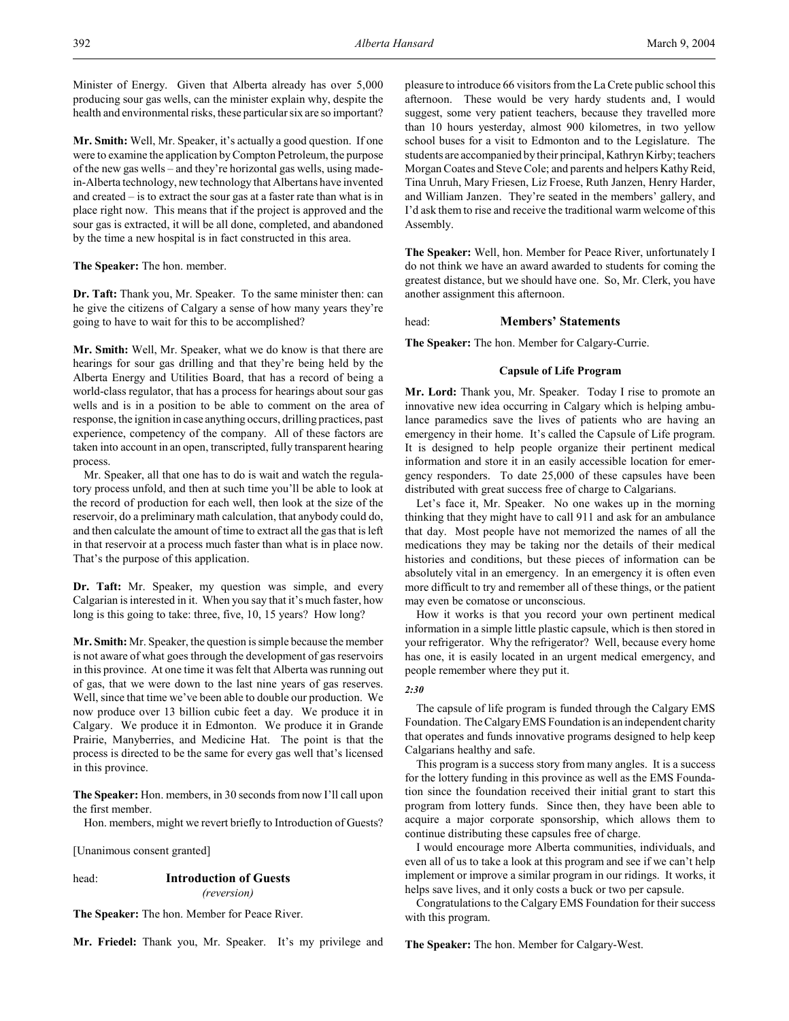Minister of Energy. Given that Alberta already has over 5,000 producing sour gas wells, can the minister explain why, despite the health and environmental risks, these particular six are so important?

**Mr. Smith:** Well, Mr. Speaker, it's actually a good question. If one were to examine the application by Compton Petroleum, the purpose of the new gas wells – and they're horizontal gas wells, using madein-Alberta technology, new technology that Albertans have invented and created – is to extract the sour gas at a faster rate than what is in place right now. This means that if the project is approved and the sour gas is extracted, it will be all done, completed, and abandoned by the time a new hospital is in fact constructed in this area.

**The Speaker:** The hon. member.

**Dr. Taft:** Thank you, Mr. Speaker. To the same minister then: can he give the citizens of Calgary a sense of how many years they're going to have to wait for this to be accomplished?

**Mr. Smith:** Well, Mr. Speaker, what we do know is that there are hearings for sour gas drilling and that they're being held by the Alberta Energy and Utilities Board, that has a record of being a world-class regulator, that has a process for hearings about sour gas wells and is in a position to be able to comment on the area of response, the ignition in case anything occurs, drilling practices, past experience, competency of the company. All of these factors are taken into account in an open, transcripted, fully transparent hearing process.

Mr. Speaker, all that one has to do is wait and watch the regulatory process unfold, and then at such time you'll be able to look at the record of production for each well, then look at the size of the reservoir, do a preliminary math calculation, that anybody could do, and then calculate the amount of time to extract all the gas that is left in that reservoir at a process much faster than what is in place now. That's the purpose of this application.

**Dr. Taft:** Mr. Speaker, my question was simple, and every Calgarian is interested in it. When you say that it's much faster, how long is this going to take: three, five, 10, 15 years? How long?

**Mr. Smith:** Mr. Speaker, the question is simple because the member is not aware of what goes through the development of gas reservoirs in this province. At one time it was felt that Alberta was running out of gas, that we were down to the last nine years of gas reserves. Well, since that time we've been able to double our production. We now produce over 13 billion cubic feet a day. We produce it in Calgary. We produce it in Edmonton. We produce it in Grande Prairie, Manyberries, and Medicine Hat. The point is that the process is directed to be the same for every gas well that's licensed in this province.

**The Speaker:** Hon. members, in 30 seconds from now I'll call upon the first member.

Hon. members, might we revert briefly to Introduction of Guests?

[Unanimous consent granted]

# head: **Introduction of Guests**

*(reversion)*

**The Speaker:** The hon. Member for Peace River.

**Mr. Friedel:** Thank you, Mr. Speaker. It's my privilege and

pleasure to introduce 66 visitors from the La Crete public school this afternoon. These would be very hardy students and, I would suggest, some very patient teachers, because they travelled more than 10 hours yesterday, almost 900 kilometres, in two yellow school buses for a visit to Edmonton and to the Legislature. The students are accompanied by their principal, Kathryn Kirby; teachers Morgan Coates and Steve Cole; and parents and helpers Kathy Reid, Tina Unruh, Mary Friesen, Liz Froese, Ruth Janzen, Henry Harder, and William Janzen. They're seated in the members' gallery, and I'd ask them to rise and receive the traditional warm welcome of this Assembly.

**The Speaker:** Well, hon. Member for Peace River, unfortunately I do not think we have an award awarded to students for coming the greatest distance, but we should have one. So, Mr. Clerk, you have another assignment this afternoon.

head: **Members' Statements**

**The Speaker:** The hon. Member for Calgary-Currie.

#### **Capsule of Life Program**

**Mr. Lord:** Thank you, Mr. Speaker. Today I rise to promote an innovative new idea occurring in Calgary which is helping ambulance paramedics save the lives of patients who are having an emergency in their home. It's called the Capsule of Life program. It is designed to help people organize their pertinent medical information and store it in an easily accessible location for emergency responders. To date 25,000 of these capsules have been distributed with great success free of charge to Calgarians.

Let's face it, Mr. Speaker. No one wakes up in the morning thinking that they might have to call 911 and ask for an ambulance that day. Most people have not memorized the names of all the medications they may be taking nor the details of their medical histories and conditions, but these pieces of information can be absolutely vital in an emergency. In an emergency it is often even more difficult to try and remember all of these things, or the patient may even be comatose or unconscious.

How it works is that you record your own pertinent medical information in a simple little plastic capsule, which is then stored in your refrigerator. Why the refrigerator? Well, because every home has one, it is easily located in an urgent medical emergency, and people remember where they put it.

# *2:30*

The capsule of life program is funded through the Calgary EMS Foundation. The Calgary EMS Foundation is an independent charity that operates and funds innovative programs designed to help keep Calgarians healthy and safe.

This program is a success story from many angles. It is a success for the lottery funding in this province as well as the EMS Foundation since the foundation received their initial grant to start this program from lottery funds. Since then, they have been able to acquire a major corporate sponsorship, which allows them to continue distributing these capsules free of charge.

I would encourage more Alberta communities, individuals, and even all of us to take a look at this program and see if we can't help implement or improve a similar program in our ridings. It works, it helps save lives, and it only costs a buck or two per capsule.

Congratulations to the Calgary EMS Foundation for their success with this program.

**The Speaker:** The hon. Member for Calgary-West.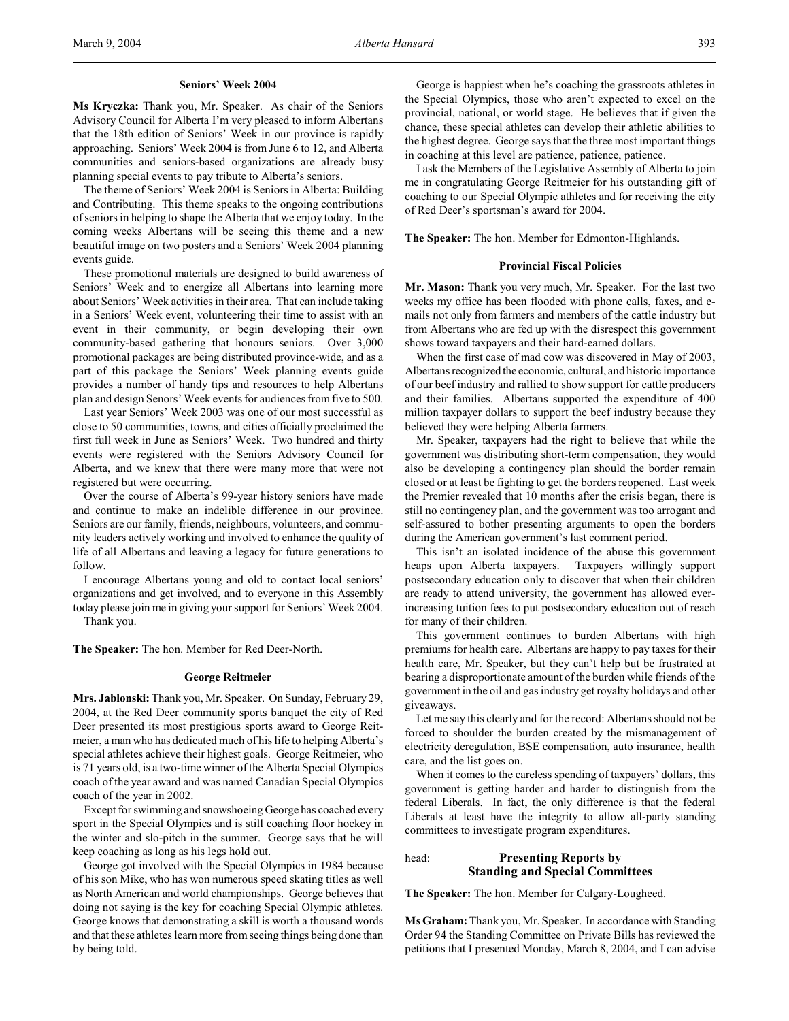# **Seniors' Week 2004**

**Ms Kryczka:** Thank you, Mr. Speaker. As chair of the Seniors Advisory Council for Alberta I'm very pleased to inform Albertans that the 18th edition of Seniors' Week in our province is rapidly approaching. Seniors' Week 2004 is from June 6 to 12, and Alberta communities and seniors-based organizations are already busy planning special events to pay tribute to Alberta's seniors.

The theme of Seniors' Week 2004 is Seniors in Alberta: Building and Contributing. This theme speaks to the ongoing contributions of seniors in helping to shape the Alberta that we enjoy today. In the coming weeks Albertans will be seeing this theme and a new beautiful image on two posters and a Seniors' Week 2004 planning events guide.

These promotional materials are designed to build awareness of Seniors' Week and to energize all Albertans into learning more about Seniors' Week activities in their area. That can include taking in a Seniors' Week event, volunteering their time to assist with an event in their community, or begin developing their own community-based gathering that honours seniors. Over 3,000 promotional packages are being distributed province-wide, and as a part of this package the Seniors' Week planning events guide provides a number of handy tips and resources to help Albertans plan and design Senors' Week events for audiences from five to 500.

Last year Seniors' Week 2003 was one of our most successful as close to 50 communities, towns, and cities officially proclaimed the first full week in June as Seniors' Week. Two hundred and thirty events were registered with the Seniors Advisory Council for Alberta, and we knew that there were many more that were not registered but were occurring.

Over the course of Alberta's 99-year history seniors have made and continue to make an indelible difference in our province. Seniors are our family, friends, neighbours, volunteers, and community leaders actively working and involved to enhance the quality of life of all Albertans and leaving a legacy for future generations to follow.

I encourage Albertans young and old to contact local seniors' organizations and get involved, and to everyone in this Assembly today please join me in giving your support for Seniors' Week 2004. Thank you.

**The Speaker:** The hon. Member for Red Deer-North.

#### **George Reitmeier**

**Mrs. Jablonski:** Thank you, Mr. Speaker. On Sunday, February 29, 2004, at the Red Deer community sports banquet the city of Red Deer presented its most prestigious sports award to George Reitmeier, a man who has dedicated much of his life to helping Alberta's special athletes achieve their highest goals. George Reitmeier, who is 71 years old, is a two-time winner of the Alberta Special Olympics coach of the year award and was named Canadian Special Olympics coach of the year in 2002.

Except for swimming and snowshoeing George has coached every sport in the Special Olympics and is still coaching floor hockey in the winter and slo-pitch in the summer. George says that he will keep coaching as long as his legs hold out.

George got involved with the Special Olympics in 1984 because of his son Mike, who has won numerous speed skating titles as well as North American and world championships. George believes that doing not saying is the key for coaching Special Olympic athletes. George knows that demonstrating a skill is worth a thousand words and that these athletes learn more from seeing things being done than by being told.

George is happiest when he's coaching the grassroots athletes in the Special Olympics, those who aren't expected to excel on the provincial, national, or world stage. He believes that if given the chance, these special athletes can develop their athletic abilities to the highest degree. George says that the three most important things in coaching at this level are patience, patience, patience.

I ask the Members of the Legislative Assembly of Alberta to join me in congratulating George Reitmeier for his outstanding gift of coaching to our Special Olympic athletes and for receiving the city of Red Deer's sportsman's award for 2004.

**The Speaker:** The hon. Member for Edmonton-Highlands.

#### **Provincial Fiscal Policies**

**Mr. Mason:** Thank you very much, Mr. Speaker. For the last two weeks my office has been flooded with phone calls, faxes, and emails not only from farmers and members of the cattle industry but from Albertans who are fed up with the disrespect this government shows toward taxpayers and their hard-earned dollars.

When the first case of mad cow was discovered in May of 2003, Albertans recognized the economic, cultural, and historic importance of our beef industry and rallied to show support for cattle producers and their families. Albertans supported the expenditure of 400 million taxpayer dollars to support the beef industry because they believed they were helping Alberta farmers.

Mr. Speaker, taxpayers had the right to believe that while the government was distributing short-term compensation, they would also be developing a contingency plan should the border remain closed or at least be fighting to get the borders reopened. Last week the Premier revealed that 10 months after the crisis began, there is still no contingency plan, and the government was too arrogant and self-assured to bother presenting arguments to open the borders during the American government's last comment period.

This isn't an isolated incidence of the abuse this government heaps upon Alberta taxpayers. Taxpayers willingly support postsecondary education only to discover that when their children are ready to attend university, the government has allowed everincreasing tuition fees to put postsecondary education out of reach for many of their children.

This government continues to burden Albertans with high premiums for health care. Albertans are happy to pay taxes for their health care, Mr. Speaker, but they can't help but be frustrated at bearing a disproportionate amount of the burden while friends of the government in the oil and gas industry get royalty holidays and other giveaways.

Let me say this clearly and for the record: Albertans should not be forced to shoulder the burden created by the mismanagement of electricity deregulation, BSE compensation, auto insurance, health care, and the list goes on.

When it comes to the careless spending of taxpayers' dollars, this government is getting harder and harder to distinguish from the federal Liberals. In fact, the only difference is that the federal Liberals at least have the integrity to allow all-party standing committees to investigate program expenditures.

# head: **Presenting Reports by Standing and Special Committees**

**The Speaker:** The hon. Member for Calgary-Lougheed.

**Ms Graham:** Thank you, Mr. Speaker. In accordance with Standing Order 94 the Standing Committee on Private Bills has reviewed the petitions that I presented Monday, March 8, 2004, and I can advise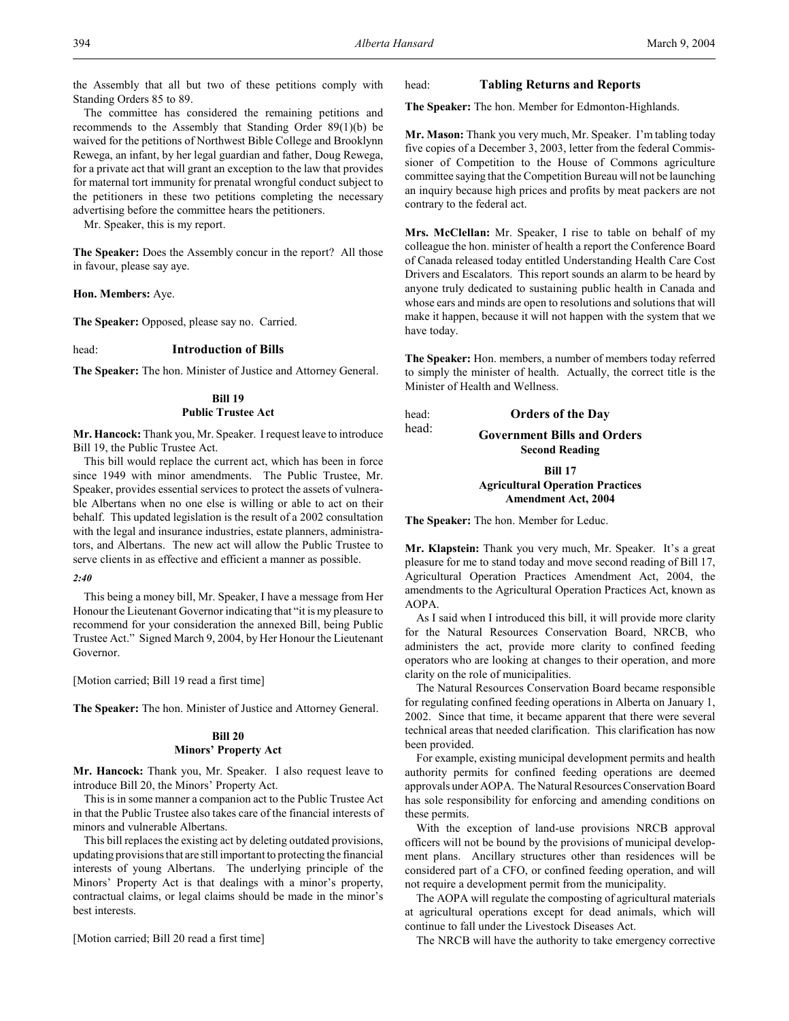the Assembly that all but two of these petitions comply with Standing Orders 85 to 89.

The committee has considered the remaining petitions and recommends to the Assembly that Standing Order 89(1)(b) be waived for the petitions of Northwest Bible College and Brooklynn Rewega, an infant, by her legal guardian and father, Doug Rewega, for a private act that will grant an exception to the law that provides for maternal tort immunity for prenatal wrongful conduct subject to the petitioners in these two petitions completing the necessary advertising before the committee hears the petitioners.

Mr. Speaker, this is my report.

**The Speaker:** Does the Assembly concur in the report? All those in favour, please say aye.

**Hon. Members:** Aye.

**The Speaker:** Opposed, please say no. Carried.

#### head: **Introduction of Bills**

**The Speaker:** The hon. Minister of Justice and Attorney General.

# **Bill 19**

# **Public Trustee Act**

**Mr. Hancock:** Thank you, Mr. Speaker. I request leave to introduce Bill 19, the Public Trustee Act.

This bill would replace the current act, which has been in force since 1949 with minor amendments. The Public Trustee, Mr. Speaker, provides essential services to protect the assets of vulnerable Albertans when no one else is willing or able to act on their behalf. This updated legislation is the result of a 2002 consultation with the legal and insurance industries, estate planners, administrators, and Albertans. The new act will allow the Public Trustee to serve clients in as effective and efficient a manner as possible.

#### *2:40*

This being a money bill, Mr. Speaker, I have a message from Her Honour the Lieutenant Governor indicating that "it is my pleasure to recommend for your consideration the annexed Bill, being Public Trustee Act." Signed March 9, 2004, by Her Honour the Lieutenant Governor.

[Motion carried; Bill 19 read a first time]

**The Speaker:** The hon. Minister of Justice and Attorney General.

# **Bill 20 Minors' Property Act**

**Mr. Hancock:** Thank you, Mr. Speaker. I also request leave to introduce Bill 20, the Minors' Property Act.

This is in some manner a companion act to the Public Trustee Act in that the Public Trustee also takes care of the financial interests of minors and vulnerable Albertans.

This bill replaces the existing act by deleting outdated provisions, updating provisions that are still important to protecting the financial interests of young Albertans. The underlying principle of the Minors' Property Act is that dealings with a minor's property, contractual claims, or legal claims should be made in the minor's best interests.

[Motion carried; Bill 20 read a first time]

# head: **Tabling Returns and Reports**

**The Speaker:** The hon. Member for Edmonton-Highlands.

**Mr. Mason:** Thank you very much, Mr. Speaker. I'm tabling today five copies of a December 3, 2003, letter from the federal Commissioner of Competition to the House of Commons agriculture committee saying that the Competition Bureau will not be launching an inquiry because high prices and profits by meat packers are not contrary to the federal act.

**Mrs. McClellan:** Mr. Speaker, I rise to table on behalf of my colleague the hon. minister of health a report the Conference Board of Canada released today entitled Understanding Health Care Cost Drivers and Escalators. This report sounds an alarm to be heard by anyone truly dedicated to sustaining public health in Canada and whose ears and minds are open to resolutions and solutions that will make it happen, because it will not happen with the system that we have today.

**The Speaker:** Hon. members, a number of members today referred to simply the minister of health. Actually, the correct title is the Minister of Health and Wellness.

head: **Orders of the Day** head: **Government Bills and Orders**

**Second Reading**

**Bill 17 Agricultural Operation Practices Amendment Act, 2004**

**The Speaker:** The hon. Member for Leduc.

**Mr. Klapstein:** Thank you very much, Mr. Speaker. It's a great pleasure for me to stand today and move second reading of Bill 17, Agricultural Operation Practices Amendment Act, 2004, the amendments to the Agricultural Operation Practices Act, known as AOPA.

As I said when I introduced this bill, it will provide more clarity for the Natural Resources Conservation Board, NRCB, who administers the act, provide more clarity to confined feeding operators who are looking at changes to their operation, and more clarity on the role of municipalities.

The Natural Resources Conservation Board became responsible for regulating confined feeding operations in Alberta on January 1, 2002. Since that time, it became apparent that there were several technical areas that needed clarification. This clarification has now been provided.

For example, existing municipal development permits and health authority permits for confined feeding operations are deemed approvals under AOPA. The Natural Resources Conservation Board has sole responsibility for enforcing and amending conditions on these permits.

With the exception of land-use provisions NRCB approval officers will not be bound by the provisions of municipal development plans. Ancillary structures other than residences will be considered part of a CFO, or confined feeding operation, and will not require a development permit from the municipality.

The AOPA will regulate the composting of agricultural materials at agricultural operations except for dead animals, which will continue to fall under the Livestock Diseases Act.

The NRCB will have the authority to take emergency corrective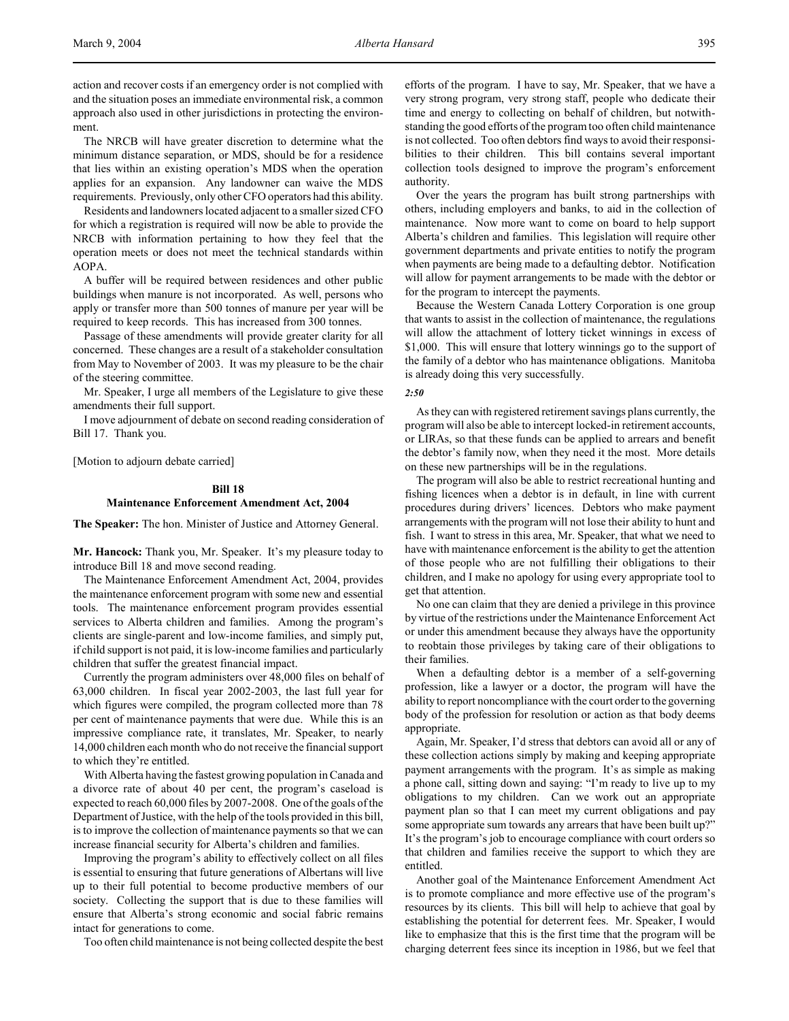action and recover costs if an emergency order is not complied with and the situation poses an immediate environmental risk, a common approach also used in other jurisdictions in protecting the environment.

The NRCB will have greater discretion to determine what the minimum distance separation, or MDS, should be for a residence that lies within an existing operation's MDS when the operation applies for an expansion. Any landowner can waive the MDS requirements. Previously, only other CFO operators had this ability.

Residents and landowners located adjacent to a smaller sized CFO for which a registration is required will now be able to provide the NRCB with information pertaining to how they feel that the operation meets or does not meet the technical standards within AOPA.

A buffer will be required between residences and other public buildings when manure is not incorporated. As well, persons who apply or transfer more than 500 tonnes of manure per year will be required to keep records. This has increased from 300 tonnes.

Passage of these amendments will provide greater clarity for all concerned. These changes are a result of a stakeholder consultation from May to November of 2003. It was my pleasure to be the chair of the steering committee.

Mr. Speaker, I urge all members of the Legislature to give these amendments their full support.

I move adjournment of debate on second reading consideration of Bill 17. Thank you.

[Motion to adjourn debate carried]

# **Bill 18 Maintenance Enforcement Amendment Act, 2004**

**The Speaker:** The hon. Minister of Justice and Attorney General.

**Mr. Hancock:** Thank you, Mr. Speaker. It's my pleasure today to introduce Bill 18 and move second reading.

The Maintenance Enforcement Amendment Act, 2004, provides the maintenance enforcement program with some new and essential tools. The maintenance enforcement program provides essential services to Alberta children and families. Among the program's clients are single-parent and low-income families, and simply put, if child support is not paid, it is low-income families and particularly children that suffer the greatest financial impact.

Currently the program administers over 48,000 files on behalf of 63,000 children. In fiscal year 2002-2003, the last full year for which figures were compiled, the program collected more than 78 per cent of maintenance payments that were due. While this is an impressive compliance rate, it translates, Mr. Speaker, to nearly 14,000 children each month who do not receive the financial support to which they're entitled.

With Alberta having the fastest growing population in Canada and a divorce rate of about 40 per cent, the program's caseload is expected to reach 60,000 files by 2007-2008. One of the goals of the Department of Justice, with the help of the tools provided in this bill, is to improve the collection of maintenance payments so that we can increase financial security for Alberta's children and families.

Improving the program's ability to effectively collect on all files is essential to ensuring that future generations of Albertans will live up to their full potential to become productive members of our society. Collecting the support that is due to these families will ensure that Alberta's strong economic and social fabric remains intact for generations to come.

Too often child maintenance is not being collected despite the best

efforts of the program. I have to say, Mr. Speaker, that we have a very strong program, very strong staff, people who dedicate their time and energy to collecting on behalf of children, but notwithstanding the good efforts of the program too often child maintenance is not collected. Too often debtors find ways to avoid their responsibilities to their children. This bill contains several important collection tools designed to improve the program's enforcement authority.

Over the years the program has built strong partnerships with others, including employers and banks, to aid in the collection of maintenance. Now more want to come on board to help support Alberta's children and families. This legislation will require other government departments and private entities to notify the program when payments are being made to a defaulting debtor. Notification will allow for payment arrangements to be made with the debtor or for the program to intercept the payments.

Because the Western Canada Lottery Corporation is one group that wants to assist in the collection of maintenance, the regulations will allow the attachment of lottery ticket winnings in excess of \$1,000. This will ensure that lottery winnings go to the support of the family of a debtor who has maintenance obligations. Manitoba is already doing this very successfully.

#### *2:50*

As they can with registered retirement savings plans currently, the program will also be able to intercept locked-in retirement accounts, or LIRAs, so that these funds can be applied to arrears and benefit the debtor's family now, when they need it the most. More details on these new partnerships will be in the regulations.

The program will also be able to restrict recreational hunting and fishing licences when a debtor is in default, in line with current procedures during drivers' licences. Debtors who make payment arrangements with the program will not lose their ability to hunt and fish. I want to stress in this area, Mr. Speaker, that what we need to have with maintenance enforcement is the ability to get the attention of those people who are not fulfilling their obligations to their children, and I make no apology for using every appropriate tool to get that attention.

No one can claim that they are denied a privilege in this province by virtue of the restrictions under the Maintenance Enforcement Act or under this amendment because they always have the opportunity to reobtain those privileges by taking care of their obligations to their families.

When a defaulting debtor is a member of a self-governing profession, like a lawyer or a doctor, the program will have the ability to report noncompliance with the court order to the governing body of the profession for resolution or action as that body deems appropriate.

Again, Mr. Speaker, I'd stress that debtors can avoid all or any of these collection actions simply by making and keeping appropriate payment arrangements with the program. It's as simple as making a phone call, sitting down and saying: "I'm ready to live up to my obligations to my children. Can we work out an appropriate payment plan so that I can meet my current obligations and pay some appropriate sum towards any arrears that have been built up?" It's the program's job to encourage compliance with court orders so that children and families receive the support to which they are entitled.

Another goal of the Maintenance Enforcement Amendment Act is to promote compliance and more effective use of the program's resources by its clients. This bill will help to achieve that goal by establishing the potential for deterrent fees. Mr. Speaker, I would like to emphasize that this is the first time that the program will be charging deterrent fees since its inception in 1986, but we feel that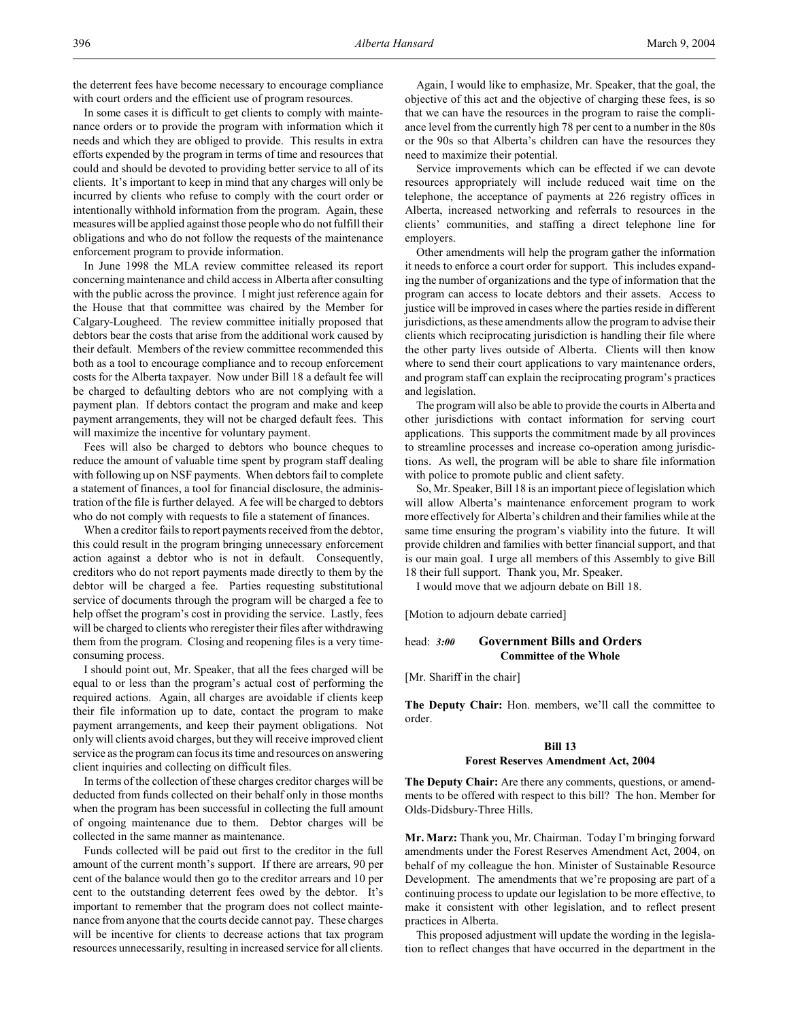the deterrent fees have become necessary to encourage compliance with court orders and the efficient use of program resources.

In some cases it is difficult to get clients to comply with maintenance orders or to provide the program with information which it needs and which they are obliged to provide. This results in extra efforts expended by the program in terms of time and resources that could and should be devoted to providing better service to all of its clients. It's important to keep in mind that any charges will only be incurred by clients who refuse to comply with the court order or intentionally withhold information from the program. Again, these measures will be applied against those people who do not fulfill their obligations and who do not follow the requests of the maintenance enforcement program to provide information.

In June 1998 the MLA review committee released its report concerning maintenance and child access in Alberta after consulting with the public across the province. I might just reference again for the House that that committee was chaired by the Member for Calgary-Lougheed. The review committee initially proposed that debtors bear the costs that arise from the additional work caused by their default. Members of the review committee recommended this both as a tool to encourage compliance and to recoup enforcement costs for the Alberta taxpayer. Now under Bill 18 a default fee will be charged to defaulting debtors who are not complying with a payment plan. If debtors contact the program and make and keep payment arrangements, they will not be charged default fees. This will maximize the incentive for voluntary payment.

Fees will also be charged to debtors who bounce cheques to reduce the amount of valuable time spent by program staff dealing with following up on NSF payments. When debtors fail to complete a statement of finances, a tool for financial disclosure, the administration of the file is further delayed. A fee will be charged to debtors who do not comply with requests to file a statement of finances.

When a creditor fails to report payments received from the debtor, this could result in the program bringing unnecessary enforcement action against a debtor who is not in default. Consequently, creditors who do not report payments made directly to them by the debtor will be charged a fee. Parties requesting substitutional service of documents through the program will be charged a fee to help offset the program's cost in providing the service. Lastly, fees will be charged to clients who reregister their files after withdrawing them from the program. Closing and reopening files is a very timeconsuming process.

I should point out, Mr. Speaker, that all the fees charged will be equal to or less than the program's actual cost of performing the required actions. Again, all charges are avoidable if clients keep their file information up to date, contact the program to make payment arrangements, and keep their payment obligations. Not only will clients avoid charges, but they will receive improved client service as the program can focus its time and resources on answering client inquiries and collecting on difficult files.

In terms of the collection of these charges creditor charges will be deducted from funds collected on their behalf only in those months when the program has been successful in collecting the full amount of ongoing maintenance due to them. Debtor charges will be collected in the same manner as maintenance.

Funds collected will be paid out first to the creditor in the full amount of the current month's support. If there are arrears, 90 per cent of the balance would then go to the creditor arrears and 10 per cent to the outstanding deterrent fees owed by the debtor. It's important to remember that the program does not collect maintenance from anyone that the courts decide cannot pay. These charges will be incentive for clients to decrease actions that tax program resources unnecessarily, resulting in increased service for all clients.

Again, I would like to emphasize, Mr. Speaker, that the goal, the objective of this act and the objective of charging these fees, is so that we can have the resources in the program to raise the compliance level from the currently high 78 per cent to a number in the 80s or the 90s so that Alberta's children can have the resources they need to maximize their potential.

Service improvements which can be effected if we can devote resources appropriately will include reduced wait time on the telephone, the acceptance of payments at 226 registry offices in Alberta, increased networking and referrals to resources in the clients' communities, and staffing a direct telephone line for employers.

Other amendments will help the program gather the information it needs to enforce a court order for support. This includes expanding the number of organizations and the type of information that the program can access to locate debtors and their assets. Access to justice will be improved in cases where the parties reside in different jurisdictions, as these amendments allow the program to advise their clients which reciprocating jurisdiction is handling their file where the other party lives outside of Alberta. Clients will then know where to send their court applications to vary maintenance orders, and program staff can explain the reciprocating program's practices and legislation.

The program will also be able to provide the courts in Alberta and other jurisdictions with contact information for serving court applications. This supports the commitment made by all provinces to streamline processes and increase co-operation among jurisdictions. As well, the program will be able to share file information with police to promote public and client safety.

So, Mr. Speaker, Bill 18 is an important piece of legislation which will allow Alberta's maintenance enforcement program to work more effectively for Alberta's children and their families while at the same time ensuring the program's viability into the future. It will provide children and families with better financial support, and that is our main goal. I urge all members of this Assembly to give Bill 18 their full support. Thank you, Mr. Speaker.

I would move that we adjourn debate on Bill 18.

[Motion to adjourn debate carried]

#### head: *3:00* **Government Bills and Orders Committee of the Whole**

[Mr. Shariff in the chair]

**The Deputy Chair:** Hon. members, we'll call the committee to order.

# **Bill 13 Forest Reserves Amendment Act, 2004**

**The Deputy Chair:** Are there any comments, questions, or amendments to be offered with respect to this bill? The hon. Member for Olds-Didsbury-Three Hills.

**Mr. Marz:** Thank you, Mr. Chairman. Today I'm bringing forward amendments under the Forest Reserves Amendment Act, 2004, on behalf of my colleague the hon. Minister of Sustainable Resource Development. The amendments that we're proposing are part of a continuing process to update our legislation to be more effective, to make it consistent with other legislation, and to reflect present practices in Alberta.

This proposed adjustment will update the wording in the legislation to reflect changes that have occurred in the department in the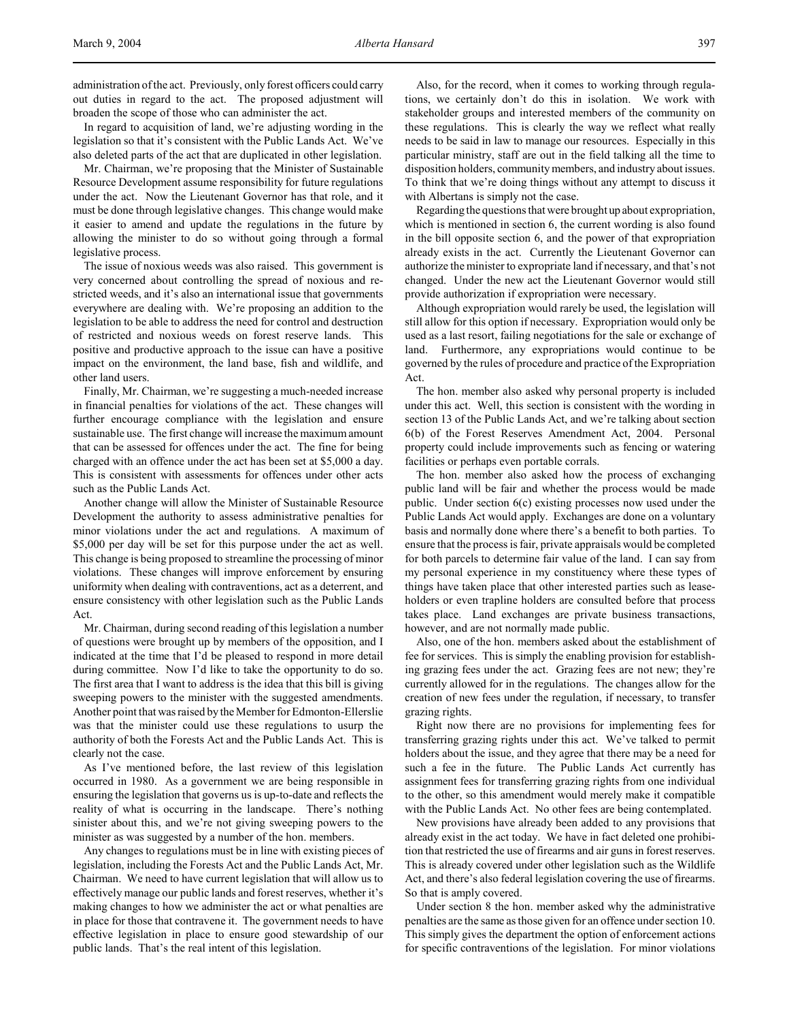administration of the act. Previously, only forest officers could carry out duties in regard to the act. The proposed adjustment will broaden the scope of those who can administer the act.

In regard to acquisition of land, we're adjusting wording in the legislation so that it's consistent with the Public Lands Act. We've also deleted parts of the act that are duplicated in other legislation.

Mr. Chairman, we're proposing that the Minister of Sustainable Resource Development assume responsibility for future regulations under the act. Now the Lieutenant Governor has that role, and it must be done through legislative changes. This change would make it easier to amend and update the regulations in the future by allowing the minister to do so without going through a formal legislative process.

The issue of noxious weeds was also raised. This government is very concerned about controlling the spread of noxious and restricted weeds, and it's also an international issue that governments everywhere are dealing with. We're proposing an addition to the legislation to be able to address the need for control and destruction of restricted and noxious weeds on forest reserve lands. This positive and productive approach to the issue can have a positive impact on the environment, the land base, fish and wildlife, and other land users.

Finally, Mr. Chairman, we're suggesting a much-needed increase in financial penalties for violations of the act. These changes will further encourage compliance with the legislation and ensure sustainable use. The first change will increase the maximum amount that can be assessed for offences under the act. The fine for being charged with an offence under the act has been set at \$5,000 a day. This is consistent with assessments for offences under other acts such as the Public Lands Act.

Another change will allow the Minister of Sustainable Resource Development the authority to assess administrative penalties for minor violations under the act and regulations. A maximum of \$5,000 per day will be set for this purpose under the act as well. This change is being proposed to streamline the processing of minor violations. These changes will improve enforcement by ensuring uniformity when dealing with contraventions, act as a deterrent, and ensure consistency with other legislation such as the Public Lands Act.

Mr. Chairman, during second reading of this legislation a number of questions were brought up by members of the opposition, and I indicated at the time that I'd be pleased to respond in more detail during committee. Now I'd like to take the opportunity to do so. The first area that I want to address is the idea that this bill is giving sweeping powers to the minister with the suggested amendments. Another point that was raised by the Member for Edmonton-Ellerslie was that the minister could use these regulations to usurp the authority of both the Forests Act and the Public Lands Act. This is clearly not the case.

As I've mentioned before, the last review of this legislation occurred in 1980. As a government we are being responsible in ensuring the legislation that governs us is up-to-date and reflects the reality of what is occurring in the landscape. There's nothing sinister about this, and we're not giving sweeping powers to the minister as was suggested by a number of the hon. members.

Any changes to regulations must be in line with existing pieces of legislation, including the Forests Act and the Public Lands Act, Mr. Chairman. We need to have current legislation that will allow us to effectively manage our public lands and forest reserves, whether it's making changes to how we administer the act or what penalties are in place for those that contravene it. The government needs to have effective legislation in place to ensure good stewardship of our public lands. That's the real intent of this legislation.

Also, for the record, when it comes to working through regulations, we certainly don't do this in isolation. We work with stakeholder groups and interested members of the community on these regulations. This is clearly the way we reflect what really needs to be said in law to manage our resources. Especially in this particular ministry, staff are out in the field talking all the time to disposition holders, community members, and industry about issues. To think that we're doing things without any attempt to discuss it with Albertans is simply not the case.

Regarding the questions that were brought up about expropriation, which is mentioned in section 6, the current wording is also found in the bill opposite section 6, and the power of that expropriation already exists in the act. Currently the Lieutenant Governor can authorize the minister to expropriate land if necessary, and that's not changed. Under the new act the Lieutenant Governor would still provide authorization if expropriation were necessary.

Although expropriation would rarely be used, the legislation will still allow for this option if necessary. Expropriation would only be used as a last resort, failing negotiations for the sale or exchange of land. Furthermore, any expropriations would continue to be governed by the rules of procedure and practice of the Expropriation Act.

The hon. member also asked why personal property is included under this act. Well, this section is consistent with the wording in section 13 of the Public Lands Act, and we're talking about section 6(b) of the Forest Reserves Amendment Act, 2004. Personal property could include improvements such as fencing or watering facilities or perhaps even portable corrals.

The hon. member also asked how the process of exchanging public land will be fair and whether the process would be made public. Under section 6(c) existing processes now used under the Public Lands Act would apply. Exchanges are done on a voluntary basis and normally done where there's a benefit to both parties. To ensure that the process is fair, private appraisals would be completed for both parcels to determine fair value of the land. I can say from my personal experience in my constituency where these types of things have taken place that other interested parties such as leaseholders or even trapline holders are consulted before that process takes place. Land exchanges are private business transactions, however, and are not normally made public.

Also, one of the hon. members asked about the establishment of fee for services. This is simply the enabling provision for establishing grazing fees under the act. Grazing fees are not new; they're currently allowed for in the regulations. The changes allow for the creation of new fees under the regulation, if necessary, to transfer grazing rights.

Right now there are no provisions for implementing fees for transferring grazing rights under this act. We've talked to permit holders about the issue, and they agree that there may be a need for such a fee in the future. The Public Lands Act currently has assignment fees for transferring grazing rights from one individual to the other, so this amendment would merely make it compatible with the Public Lands Act. No other fees are being contemplated.

New provisions have already been added to any provisions that already exist in the act today. We have in fact deleted one prohibition that restricted the use of firearms and air guns in forest reserves. This is already covered under other legislation such as the Wildlife Act, and there's also federal legislation covering the use of firearms. So that is amply covered.

Under section 8 the hon. member asked why the administrative penalties are the same as those given for an offence under section 10. This simply gives the department the option of enforcement actions for specific contraventions of the legislation. For minor violations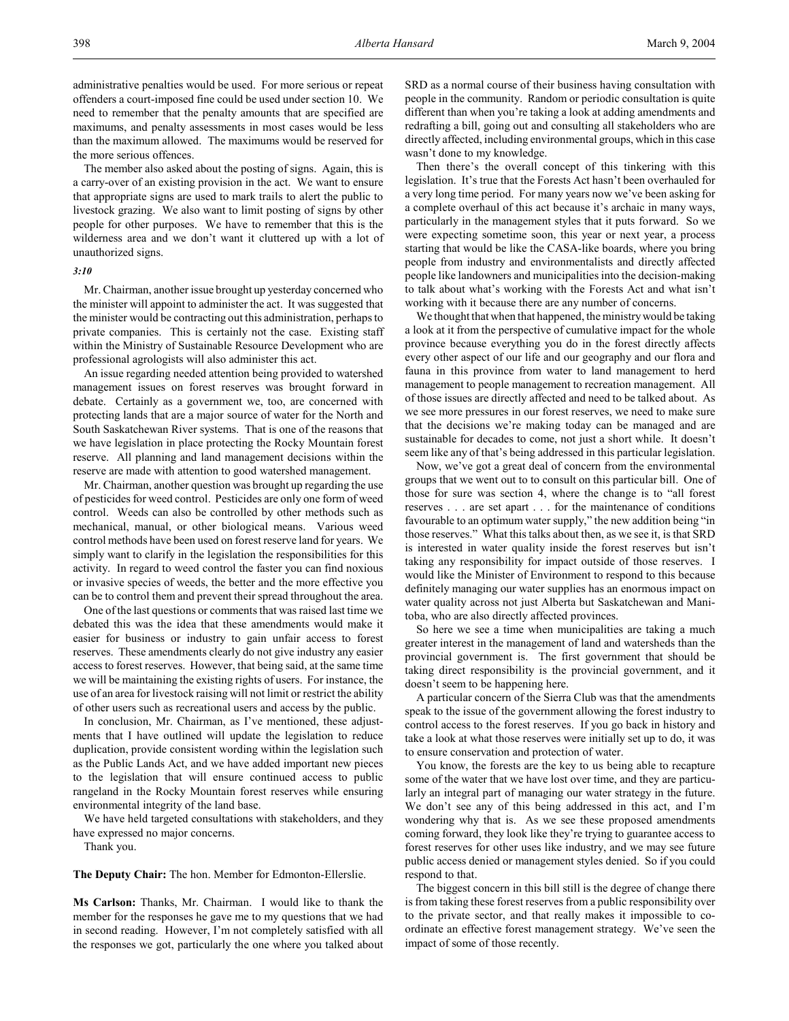administrative penalties would be used. For more serious or repeat offenders a court-imposed fine could be used under section 10. We need to remember that the penalty amounts that are specified are maximums, and penalty assessments in most cases would be less than the maximum allowed. The maximums would be reserved for the more serious offences.

The member also asked about the posting of signs. Again, this is a carry-over of an existing provision in the act. We want to ensure that appropriate signs are used to mark trails to alert the public to livestock grazing. We also want to limit posting of signs by other people for other purposes. We have to remember that this is the wilderness area and we don't want it cluttered up with a lot of unauthorized signs.

#### *3:10*

Mr. Chairman, another issue brought up yesterday concerned who the minister will appoint to administer the act. It was suggested that the minister would be contracting out this administration, perhaps to private companies. This is certainly not the case. Existing staff within the Ministry of Sustainable Resource Development who are professional agrologists will also administer this act.

An issue regarding needed attention being provided to watershed management issues on forest reserves was brought forward in debate. Certainly as a government we, too, are concerned with protecting lands that are a major source of water for the North and South Saskatchewan River systems. That is one of the reasons that we have legislation in place protecting the Rocky Mountain forest reserve. All planning and land management decisions within the reserve are made with attention to good watershed management.

Mr. Chairman, another question was brought up regarding the use of pesticides for weed control. Pesticides are only one form of weed control. Weeds can also be controlled by other methods such as mechanical, manual, or other biological means. Various weed control methods have been used on forest reserve land for years. We simply want to clarify in the legislation the responsibilities for this activity. In regard to weed control the faster you can find noxious or invasive species of weeds, the better and the more effective you can be to control them and prevent their spread throughout the area.

One of the last questions or comments that was raised last time we debated this was the idea that these amendments would make it easier for business or industry to gain unfair access to forest reserves. These amendments clearly do not give industry any easier access to forest reserves. However, that being said, at the same time we will be maintaining the existing rights of users. For instance, the use of an area for livestock raising will not limit or restrict the ability of other users such as recreational users and access by the public.

In conclusion, Mr. Chairman, as I've mentioned, these adjustments that I have outlined will update the legislation to reduce duplication, provide consistent wording within the legislation such as the Public Lands Act, and we have added important new pieces to the legislation that will ensure continued access to public rangeland in the Rocky Mountain forest reserves while ensuring environmental integrity of the land base.

We have held targeted consultations with stakeholders, and they have expressed no major concerns.

Thank you.

**The Deputy Chair:** The hon. Member for Edmonton-Ellerslie.

**Ms Carlson:** Thanks, Mr. Chairman. I would like to thank the member for the responses he gave me to my questions that we had in second reading. However, I'm not completely satisfied with all the responses we got, particularly the one where you talked about

SRD as a normal course of their business having consultation with people in the community. Random or periodic consultation is quite different than when you're taking a look at adding amendments and redrafting a bill, going out and consulting all stakeholders who are directly affected, including environmental groups, which in this case wasn't done to my knowledge.

Then there's the overall concept of this tinkering with this legislation. It's true that the Forests Act hasn't been overhauled for a very long time period. For many years now we've been asking for a complete overhaul of this act because it's archaic in many ways, particularly in the management styles that it puts forward. So we were expecting sometime soon, this year or next year, a process starting that would be like the CASA-like boards, where you bring people from industry and environmentalists and directly affected people like landowners and municipalities into the decision-making to talk about what's working with the Forests Act and what isn't working with it because there are any number of concerns.

We thought that when that happened, the ministry would be taking a look at it from the perspective of cumulative impact for the whole province because everything you do in the forest directly affects every other aspect of our life and our geography and our flora and fauna in this province from water to land management to herd management to people management to recreation management. All of those issues are directly affected and need to be talked about. As we see more pressures in our forest reserves, we need to make sure that the decisions we're making today can be managed and are sustainable for decades to come, not just a short while. It doesn't seem like any of that's being addressed in this particular legislation.

Now, we've got a great deal of concern from the environmental groups that we went out to to consult on this particular bill. One of those for sure was section 4, where the change is to "all forest reserves . . . are set apart . . . for the maintenance of conditions favourable to an optimum water supply," the new addition being "in those reserves." What this talks about then, as we see it, is that SRD is interested in water quality inside the forest reserves but isn't taking any responsibility for impact outside of those reserves. I would like the Minister of Environment to respond to this because definitely managing our water supplies has an enormous impact on water quality across not just Alberta but Saskatchewan and Manitoba, who are also directly affected provinces.

So here we see a time when municipalities are taking a much greater interest in the management of land and watersheds than the provincial government is. The first government that should be taking direct responsibility is the provincial government, and it doesn't seem to be happening here.

A particular concern of the Sierra Club was that the amendments speak to the issue of the government allowing the forest industry to control access to the forest reserves. If you go back in history and take a look at what those reserves were initially set up to do, it was to ensure conservation and protection of water.

You know, the forests are the key to us being able to recapture some of the water that we have lost over time, and they are particularly an integral part of managing our water strategy in the future. We don't see any of this being addressed in this act, and I'm wondering why that is. As we see these proposed amendments coming forward, they look like they're trying to guarantee access to forest reserves for other uses like industry, and we may see future public access denied or management styles denied. So if you could respond to that.

The biggest concern in this bill still is the degree of change there is from taking these forest reserves from a public responsibility over to the private sector, and that really makes it impossible to coordinate an effective forest management strategy. We've seen the impact of some of those recently.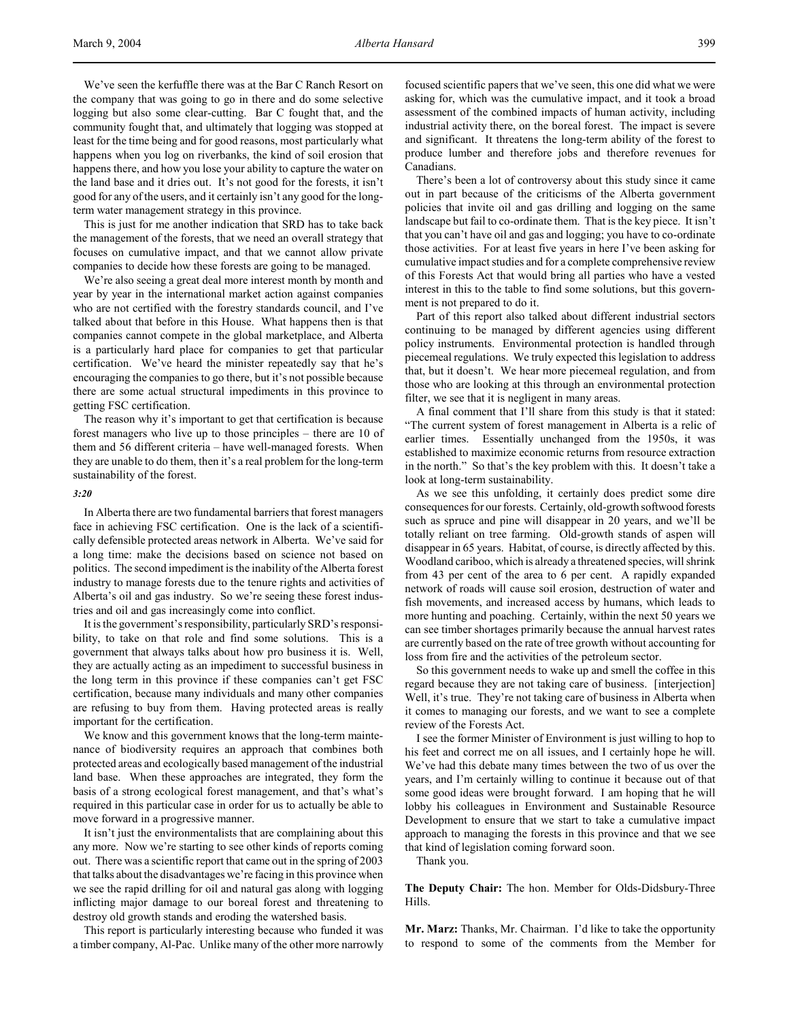We've seen the kerfuffle there was at the Bar C Ranch Resort on the company that was going to go in there and do some selective logging but also some clear-cutting. Bar C fought that, and the community fought that, and ultimately that logging was stopped at least for the time being and for good reasons, most particularly what happens when you log on riverbanks, the kind of soil erosion that happens there, and how you lose your ability to capture the water on the land base and it dries out. It's not good for the forests, it isn't good for any of the users, and it certainly isn't any good for the longterm water management strategy in this province.

This is just for me another indication that SRD has to take back the management of the forests, that we need an overall strategy that focuses on cumulative impact, and that we cannot allow private companies to decide how these forests are going to be managed.

We're also seeing a great deal more interest month by month and year by year in the international market action against companies who are not certified with the forestry standards council, and I've talked about that before in this House. What happens then is that companies cannot compete in the global marketplace, and Alberta is a particularly hard place for companies to get that particular certification. We've heard the minister repeatedly say that he's encouraging the companies to go there, but it's not possible because there are some actual structural impediments in this province to getting FSC certification.

The reason why it's important to get that certification is because forest managers who live up to those principles – there are 10 of them and 56 different criteria – have well-managed forests. When they are unable to do them, then it's a real problem for the long-term sustainability of the forest.

# *3:20*

In Alberta there are two fundamental barriers that forest managers face in achieving FSC certification. One is the lack of a scientifically defensible protected areas network in Alberta. We've said for a long time: make the decisions based on science not based on politics. The second impediment is the inability of the Alberta forest industry to manage forests due to the tenure rights and activities of Alberta's oil and gas industry. So we're seeing these forest industries and oil and gas increasingly come into conflict.

It is the government's responsibility, particularly SRD's responsibility, to take on that role and find some solutions. This is a government that always talks about how pro business it is. Well, they are actually acting as an impediment to successful business in the long term in this province if these companies can't get FSC certification, because many individuals and many other companies are refusing to buy from them. Having protected areas is really important for the certification.

We know and this government knows that the long-term maintenance of biodiversity requires an approach that combines both protected areas and ecologically based management of the industrial land base. When these approaches are integrated, they form the basis of a strong ecological forest management, and that's what's required in this particular case in order for us to actually be able to move forward in a progressive manner.

It isn't just the environmentalists that are complaining about this any more. Now we're starting to see other kinds of reports coming out. There was a scientific report that came out in the spring of 2003 that talks about the disadvantages we're facing in this province when we see the rapid drilling for oil and natural gas along with logging inflicting major damage to our boreal forest and threatening to destroy old growth stands and eroding the watershed basis.

This report is particularly interesting because who funded it was a timber company, Al-Pac. Unlike many of the other more narrowly

focused scientific papers that we've seen, this one did what we were asking for, which was the cumulative impact, and it took a broad assessment of the combined impacts of human activity, including industrial activity there, on the boreal forest. The impact is severe and significant. It threatens the long-term ability of the forest to produce lumber and therefore jobs and therefore revenues for Canadians.

There's been a lot of controversy about this study since it came out in part because of the criticisms of the Alberta government policies that invite oil and gas drilling and logging on the same landscape but fail to co-ordinate them. That is the key piece. It isn't that you can't have oil and gas and logging; you have to co-ordinate those activities. For at least five years in here I've been asking for cumulative impact studies and for a complete comprehensive review of this Forests Act that would bring all parties who have a vested interest in this to the table to find some solutions, but this government is not prepared to do it.

Part of this report also talked about different industrial sectors continuing to be managed by different agencies using different policy instruments. Environmental protection is handled through piecemeal regulations. We truly expected this legislation to address that, but it doesn't. We hear more piecemeal regulation, and from those who are looking at this through an environmental protection filter, we see that it is negligent in many areas.

A final comment that I'll share from this study is that it stated: "The current system of forest management in Alberta is a relic of earlier times. Essentially unchanged from the 1950s, it was established to maximize economic returns from resource extraction in the north." So that's the key problem with this. It doesn't take a look at long-term sustainability.

As we see this unfolding, it certainly does predict some dire consequences for our forests. Certainly, old-growth softwood forests such as spruce and pine will disappear in 20 years, and we'll be totally reliant on tree farming. Old-growth stands of aspen will disappear in 65 years. Habitat, of course, is directly affected by this. Woodland cariboo, which is already a threatened species, will shrink from 43 per cent of the area to 6 per cent. A rapidly expanded network of roads will cause soil erosion, destruction of water and fish movements, and increased access by humans, which leads to more hunting and poaching. Certainly, within the next 50 years we can see timber shortages primarily because the annual harvest rates are currently based on the rate of tree growth without accounting for loss from fire and the activities of the petroleum sector.

So this government needs to wake up and smell the coffee in this regard because they are not taking care of business. [interjection] Well, it's true. They're not taking care of business in Alberta when it comes to managing our forests, and we want to see a complete review of the Forests Act.

I see the former Minister of Environment is just willing to hop to his feet and correct me on all issues, and I certainly hope he will. We've had this debate many times between the two of us over the years, and I'm certainly willing to continue it because out of that some good ideas were brought forward. I am hoping that he will lobby his colleagues in Environment and Sustainable Resource Development to ensure that we start to take a cumulative impact approach to managing the forests in this province and that we see that kind of legislation coming forward soon.

Thank you.

**The Deputy Chair:** The hon. Member for Olds-Didsbury-Three Hills.

**Mr. Marz:** Thanks, Mr. Chairman. I'd like to take the opportunity to respond to some of the comments from the Member for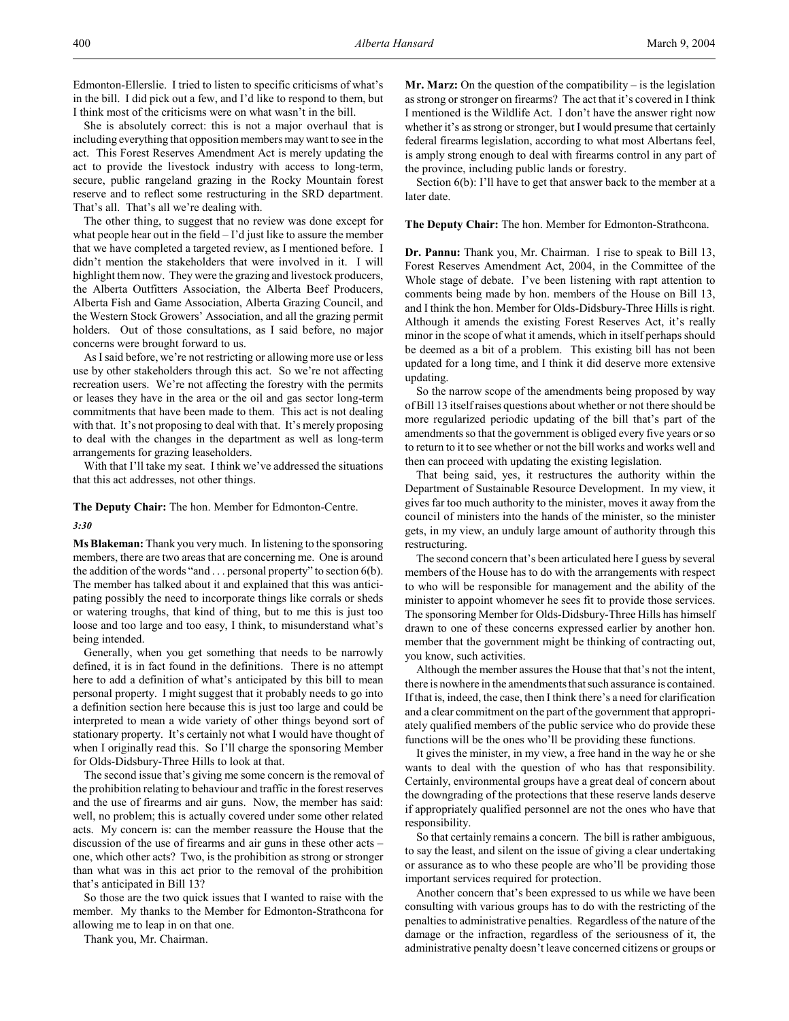She is absolutely correct: this is not a major overhaul that is including everything that opposition members may want to see in the act. This Forest Reserves Amendment Act is merely updating the act to provide the livestock industry with access to long-term, secure, public rangeland grazing in the Rocky Mountain forest reserve and to reflect some restructuring in the SRD department. That's all. That's all we're dealing with.

The other thing, to suggest that no review was done except for what people hear out in the field  $-1$ 'd just like to assure the member that we have completed a targeted review, as I mentioned before. I didn't mention the stakeholders that were involved in it. I will highlight them now. They were the grazing and livestock producers, the Alberta Outfitters Association, the Alberta Beef Producers, Alberta Fish and Game Association, Alberta Grazing Council, and the Western Stock Growers' Association, and all the grazing permit holders. Out of those consultations, as I said before, no major concerns were brought forward to us.

As I said before, we're not restricting or allowing more use or less use by other stakeholders through this act. So we're not affecting recreation users. We're not affecting the forestry with the permits or leases they have in the area or the oil and gas sector long-term commitments that have been made to them. This act is not dealing with that. It's not proposing to deal with that. It's merely proposing to deal with the changes in the department as well as long-term arrangements for grazing leaseholders.

With that I'll take my seat. I think we've addressed the situations that this act addresses, not other things.

# **The Deputy Chair:** The hon. Member for Edmonton-Centre. *3:30*

**Ms Blakeman:** Thank you very much. In listening to the sponsoring members, there are two areas that are concerning me. One is around the addition of the words "and . . . personal property" to section 6(b). The member has talked about it and explained that this was anticipating possibly the need to incorporate things like corrals or sheds or watering troughs, that kind of thing, but to me this is just too loose and too large and too easy, I think, to misunderstand what's being intended.

Generally, when you get something that needs to be narrowly defined, it is in fact found in the definitions. There is no attempt here to add a definition of what's anticipated by this bill to mean personal property. I might suggest that it probably needs to go into a definition section here because this is just too large and could be interpreted to mean a wide variety of other things beyond sort of stationary property. It's certainly not what I would have thought of when I originally read this. So I'll charge the sponsoring Member for Olds-Didsbury-Three Hills to look at that.

The second issue that's giving me some concern is the removal of the prohibition relating to behaviour and traffic in the forest reserves and the use of firearms and air guns. Now, the member has said: well, no problem; this is actually covered under some other related acts. My concern is: can the member reassure the House that the discussion of the use of firearms and air guns in these other acts – one, which other acts? Two, is the prohibition as strong or stronger than what was in this act prior to the removal of the prohibition that's anticipated in Bill 13?

So those are the two quick issues that I wanted to raise with the member. My thanks to the Member for Edmonton-Strathcona for allowing me to leap in on that one.

Thank you, Mr. Chairman.

**Mr. Marz:** On the question of the compatibility – is the legislation as strong or stronger on firearms? The act that it's covered in I think I mentioned is the Wildlife Act. I don't have the answer right now whether it's as strong or stronger, but I would presume that certainly federal firearms legislation, according to what most Albertans feel, is amply strong enough to deal with firearms control in any part of the province, including public lands or forestry.

Section 6(b): I'll have to get that answer back to the member at a later date.

**The Deputy Chair:** The hon. Member for Edmonton-Strathcona.

**Dr. Pannu:** Thank you, Mr. Chairman. I rise to speak to Bill 13, Forest Reserves Amendment Act, 2004, in the Committee of the Whole stage of debate. I've been listening with rapt attention to comments being made by hon. members of the House on Bill 13, and I think the hon. Member for Olds-Didsbury-Three Hills is right. Although it amends the existing Forest Reserves Act, it's really minor in the scope of what it amends, which in itself perhaps should be deemed as a bit of a problem. This existing bill has not been updated for a long time, and I think it did deserve more extensive updating.

So the narrow scope of the amendments being proposed by way of Bill 13 itself raises questions about whether or not there should be more regularized periodic updating of the bill that's part of the amendments so that the government is obliged every five years or so to return to it to see whether or not the bill works and works well and then can proceed with updating the existing legislation.

That being said, yes, it restructures the authority within the Department of Sustainable Resource Development. In my view, it gives far too much authority to the minister, moves it away from the council of ministers into the hands of the minister, so the minister gets, in my view, an unduly large amount of authority through this restructuring.

The second concern that's been articulated here I guess by several members of the House has to do with the arrangements with respect to who will be responsible for management and the ability of the minister to appoint whomever he sees fit to provide those services. The sponsoring Member for Olds-Didsbury-Three Hills has himself drawn to one of these concerns expressed earlier by another hon. member that the government might be thinking of contracting out, you know, such activities.

Although the member assures the House that that's not the intent, there is nowhere in the amendments that such assurance is contained. If that is, indeed, the case, then I think there's a need for clarification and a clear commitment on the part of the government that appropriately qualified members of the public service who do provide these functions will be the ones who'll be providing these functions.

It gives the minister, in my view, a free hand in the way he or she wants to deal with the question of who has that responsibility. Certainly, environmental groups have a great deal of concern about the downgrading of the protections that these reserve lands deserve if appropriately qualified personnel are not the ones who have that responsibility.

So that certainly remains a concern. The bill is rather ambiguous, to say the least, and silent on the issue of giving a clear undertaking or assurance as to who these people are who'll be providing those important services required for protection.

Another concern that's been expressed to us while we have been consulting with various groups has to do with the restricting of the penalties to administrative penalties. Regardless of the nature of the damage or the infraction, regardless of the seriousness of it, the administrative penalty doesn't leave concerned citizens or groups or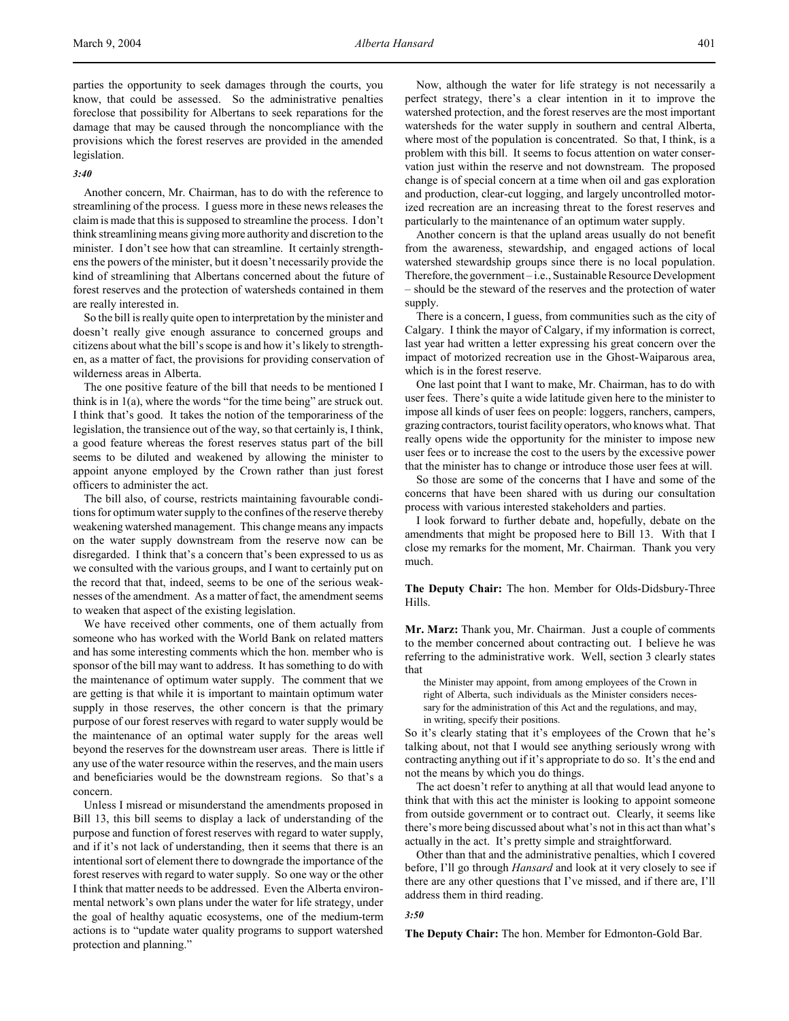#### *3:40*

Another concern, Mr. Chairman, has to do with the reference to streamlining of the process. I guess more in these news releases the claim is made that this is supposed to streamline the process. I don't think streamlining means giving more authority and discretion to the minister. I don't see how that can streamline. It certainly strengthens the powers of the minister, but it doesn't necessarily provide the kind of streamlining that Albertans concerned about the future of forest reserves and the protection of watersheds contained in them are really interested in.

So the bill is really quite open to interpretation by the minister and doesn't really give enough assurance to concerned groups and citizens about what the bill's scope is and how it's likely to strengthen, as a matter of fact, the provisions for providing conservation of wilderness areas in Alberta.

The one positive feature of the bill that needs to be mentioned I think is in 1(a), where the words "for the time being" are struck out. I think that's good. It takes the notion of the temporariness of the legislation, the transience out of the way, so that certainly is, I think, a good feature whereas the forest reserves status part of the bill seems to be diluted and weakened by allowing the minister to appoint anyone employed by the Crown rather than just forest officers to administer the act.

The bill also, of course, restricts maintaining favourable conditions for optimum water supply to the confines of the reserve thereby weakening watershed management. This change means any impacts on the water supply downstream from the reserve now can be disregarded. I think that's a concern that's been expressed to us as we consulted with the various groups, and I want to certainly put on the record that that, indeed, seems to be one of the serious weaknesses of the amendment. As a matter of fact, the amendment seems to weaken that aspect of the existing legislation.

We have received other comments, one of them actually from someone who has worked with the World Bank on related matters and has some interesting comments which the hon. member who is sponsor of the bill may want to address. It has something to do with the maintenance of optimum water supply. The comment that we are getting is that while it is important to maintain optimum water supply in those reserves, the other concern is that the primary purpose of our forest reserves with regard to water supply would be the maintenance of an optimal water supply for the areas well beyond the reserves for the downstream user areas. There is little if any use of the water resource within the reserves, and the main users and beneficiaries would be the downstream regions. So that's a concern.

Unless I misread or misunderstand the amendments proposed in Bill 13, this bill seems to display a lack of understanding of the purpose and function of forest reserves with regard to water supply, and if it's not lack of understanding, then it seems that there is an intentional sort of element there to downgrade the importance of the forest reserves with regard to water supply. So one way or the other I think that matter needs to be addressed. Even the Alberta environmental network's own plans under the water for life strategy, under the goal of healthy aquatic ecosystems, one of the medium-term actions is to "update water quality programs to support watershed protection and planning."

Now, although the water for life strategy is not necessarily a perfect strategy, there's a clear intention in it to improve the watershed protection, and the forest reserves are the most important watersheds for the water supply in southern and central Alberta, where most of the population is concentrated. So that, I think, is a problem with this bill. It seems to focus attention on water conservation just within the reserve and not downstream. The proposed change is of special concern at a time when oil and gas exploration and production, clear-cut logging, and largely uncontrolled motorized recreation are an increasing threat to the forest reserves and particularly to the maintenance of an optimum water supply.

Another concern is that the upland areas usually do not benefit from the awareness, stewardship, and engaged actions of local watershed stewardship groups since there is no local population. Therefore, the government – i.e., Sustainable Resource Development – should be the steward of the reserves and the protection of water supply.

There is a concern, I guess, from communities such as the city of Calgary. I think the mayor of Calgary, if my information is correct, last year had written a letter expressing his great concern over the impact of motorized recreation use in the Ghost-Waiparous area, which is in the forest reserve.

One last point that I want to make, Mr. Chairman, has to do with user fees. There's quite a wide latitude given here to the minister to impose all kinds of user fees on people: loggers, ranchers, campers, grazing contractors, tourist facility operators, who knows what. That really opens wide the opportunity for the minister to impose new user fees or to increase the cost to the users by the excessive power that the minister has to change or introduce those user fees at will.

So those are some of the concerns that I have and some of the concerns that have been shared with us during our consultation process with various interested stakeholders and parties.

I look forward to further debate and, hopefully, debate on the amendments that might be proposed here to Bill 13. With that I close my remarks for the moment, Mr. Chairman. Thank you very much.

**The Deputy Chair:** The hon. Member for Olds-Didsbury-Three Hills.

**Mr. Marz:** Thank you, Mr. Chairman. Just a couple of comments to the member concerned about contracting out. I believe he was referring to the administrative work. Well, section 3 clearly states that

the Minister may appoint, from among employees of the Crown in right of Alberta, such individuals as the Minister considers necessary for the administration of this Act and the regulations, and may, in writing, specify their positions.

So it's clearly stating that it's employees of the Crown that he's talking about, not that I would see anything seriously wrong with contracting anything out if it's appropriate to do so. It's the end and not the means by which you do things.

The act doesn't refer to anything at all that would lead anyone to think that with this act the minister is looking to appoint someone from outside government or to contract out. Clearly, it seems like there's more being discussed about what's not in this act than what's actually in the act. It's pretty simple and straightforward.

Other than that and the administrative penalties, which I covered before, I'll go through *Hansard* and look at it very closely to see if there are any other questions that I've missed, and if there are, I'll address them in third reading.

#### *3:50*

**The Deputy Chair:** The hon. Member for Edmonton-Gold Bar.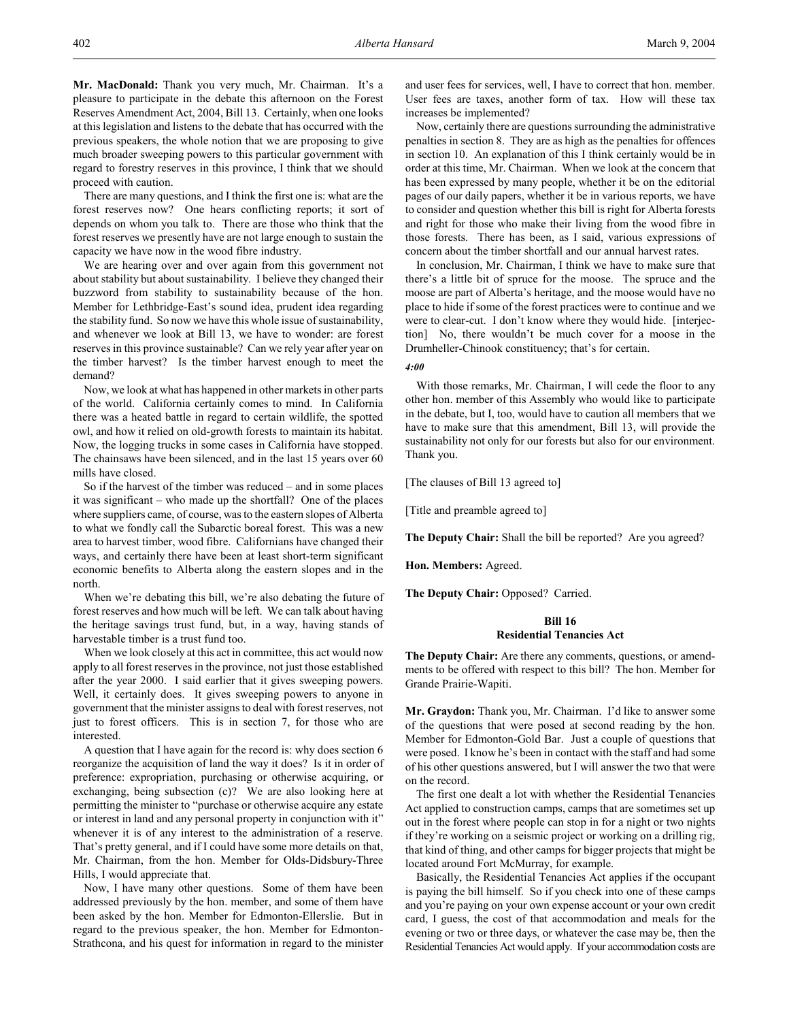There are many questions, and I think the first one is: what are the forest reserves now? One hears conflicting reports; it sort of depends on whom you talk to. There are those who think that the forest reserves we presently have are not large enough to sustain the capacity we have now in the wood fibre industry.

We are hearing over and over again from this government not about stability but about sustainability. I believe they changed their buzzword from stability to sustainability because of the hon. Member for Lethbridge-East's sound idea, prudent idea regarding the stability fund. So now we have this whole issue of sustainability, and whenever we look at Bill 13, we have to wonder: are forest reserves in this province sustainable? Can we rely year after year on the timber harvest? Is the timber harvest enough to meet the demand?

Now, we look at what has happened in other markets in other parts of the world. California certainly comes to mind. In California there was a heated battle in regard to certain wildlife, the spotted owl, and how it relied on old-growth forests to maintain its habitat. Now, the logging trucks in some cases in California have stopped. The chainsaws have been silenced, and in the last 15 years over 60 mills have closed.

So if the harvest of the timber was reduced – and in some places it was significant – who made up the shortfall? One of the places where suppliers came, of course, was to the eastern slopes of Alberta to what we fondly call the Subarctic boreal forest. This was a new area to harvest timber, wood fibre. Californians have changed their ways, and certainly there have been at least short-term significant economic benefits to Alberta along the eastern slopes and in the north.

When we're debating this bill, we're also debating the future of forest reserves and how much will be left. We can talk about having the heritage savings trust fund, but, in a way, having stands of harvestable timber is a trust fund too.

When we look closely at this act in committee, this act would now apply to all forest reserves in the province, not just those established after the year 2000. I said earlier that it gives sweeping powers. Well, it certainly does. It gives sweeping powers to anyone in government that the minister assigns to deal with forest reserves, not just to forest officers. This is in section 7, for those who are interested.

A question that I have again for the record is: why does section 6 reorganize the acquisition of land the way it does? Is it in order of preference: expropriation, purchasing or otherwise acquiring, or exchanging, being subsection (c)? We are also looking here at permitting the minister to "purchase or otherwise acquire any estate or interest in land and any personal property in conjunction with it" whenever it is of any interest to the administration of a reserve. That's pretty general, and if I could have some more details on that, Mr. Chairman, from the hon. Member for Olds-Didsbury-Three Hills, I would appreciate that.

Now, I have many other questions. Some of them have been addressed previously by the hon. member, and some of them have been asked by the hon. Member for Edmonton-Ellerslie. But in regard to the previous speaker, the hon. Member for Edmonton-Strathcona, and his quest for information in regard to the minister

and user fees for services, well, I have to correct that hon. member. User fees are taxes, another form of tax. How will these tax increases be implemented?

Now, certainly there are questions surrounding the administrative penalties in section 8. They are as high as the penalties for offences in section 10. An explanation of this I think certainly would be in order at this time, Mr. Chairman. When we look at the concern that has been expressed by many people, whether it be on the editorial pages of our daily papers, whether it be in various reports, we have to consider and question whether this bill is right for Alberta forests and right for those who make their living from the wood fibre in those forests. There has been, as I said, various expressions of concern about the timber shortfall and our annual harvest rates.

In conclusion, Mr. Chairman, I think we have to make sure that there's a little bit of spruce for the moose. The spruce and the moose are part of Alberta's heritage, and the moose would have no place to hide if some of the forest practices were to continue and we were to clear-cut. I don't know where they would hide. [interjection] No, there wouldn't be much cover for a moose in the Drumheller-Chinook constituency; that's for certain.

### *4:00*

With those remarks, Mr. Chairman, I will cede the floor to any other hon. member of this Assembly who would like to participate in the debate, but I, too, would have to caution all members that we have to make sure that this amendment, Bill 13, will provide the sustainability not only for our forests but also for our environment. Thank you.

[The clauses of Bill 13 agreed to]

[Title and preamble agreed to]

**The Deputy Chair:** Shall the bill be reported? Are you agreed?

**Hon. Members:** Agreed.

**The Deputy Chair:** Opposed? Carried.

# **Bill 16 Residential Tenancies Act**

**The Deputy Chair:** Are there any comments, questions, or amendments to be offered with respect to this bill? The hon. Member for Grande Prairie-Wapiti.

**Mr. Graydon:** Thank you, Mr. Chairman. I'd like to answer some of the questions that were posed at second reading by the hon. Member for Edmonton-Gold Bar. Just a couple of questions that were posed. I know he's been in contact with the staff and had some of his other questions answered, but I will answer the two that were on the record.

The first one dealt a lot with whether the Residential Tenancies Act applied to construction camps, camps that are sometimes set up out in the forest where people can stop in for a night or two nights if they're working on a seismic project or working on a drilling rig, that kind of thing, and other camps for bigger projects that might be located around Fort McMurray, for example.

Basically, the Residential Tenancies Act applies if the occupant is paying the bill himself. So if you check into one of these camps and you're paying on your own expense account or your own credit card, I guess, the cost of that accommodation and meals for the evening or two or three days, or whatever the case may be, then the Residential Tenancies Act would apply. If your accommodation costs are

proceed with caution.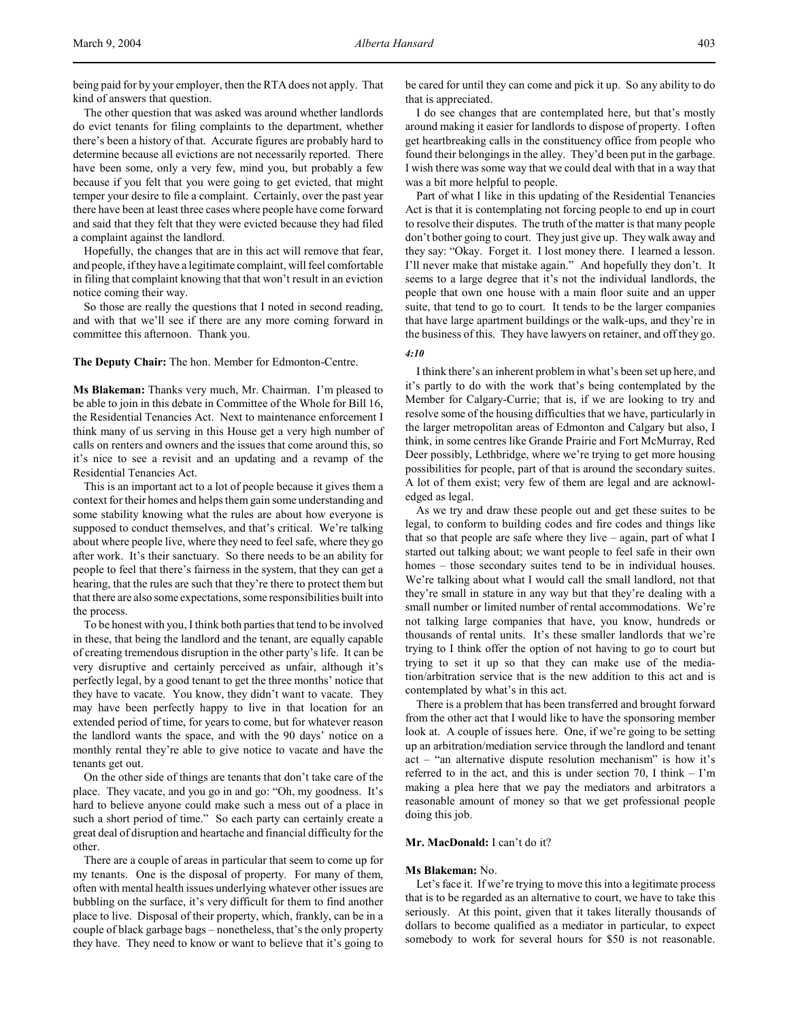being paid for by your employer, then the RTA does not apply. That kind of answers that question.

The other question that was asked was around whether landlords do evict tenants for filing complaints to the department, whether there's been a history of that. Accurate figures are probably hard to determine because all evictions are not necessarily reported. There have been some, only a very few, mind you, but probably a few because if you felt that you were going to get evicted, that might temper your desire to file a complaint. Certainly, over the past year there have been at least three cases where people have come forward and said that they felt that they were evicted because they had filed a complaint against the landlord.

Hopefully, the changes that are in this act will remove that fear, and people, if they have a legitimate complaint, will feel comfortable in filing that complaint knowing that that won't result in an eviction notice coming their way.

So those are really the questions that I noted in second reading, and with that we'll see if there are any more coming forward in committee this afternoon. Thank you.

**The Deputy Chair:** The hon. Member for Edmonton-Centre.

**Ms Blakeman:** Thanks very much, Mr. Chairman. I'm pleased to be able to join in this debate in Committee of the Whole for Bill 16, the Residential Tenancies Act. Next to maintenance enforcement I think many of us serving in this House get a very high number of calls on renters and owners and the issues that come around this, so it's nice to see a revisit and an updating and a revamp of the Residential Tenancies Act.

This is an important act to a lot of people because it gives them a context for their homes and helps them gain some understanding and some stability knowing what the rules are about how everyone is supposed to conduct themselves, and that's critical. We're talking about where people live, where they need to feel safe, where they go after work. It's their sanctuary. So there needs to be an ability for people to feel that there's fairness in the system, that they can get a hearing, that the rules are such that they're there to protect them but that there are also some expectations, some responsibilities built into the process.

To be honest with you, I think both parties that tend to be involved in these, that being the landlord and the tenant, are equally capable of creating tremendous disruption in the other party's life. It can be very disruptive and certainly perceived as unfair, although it's perfectly legal, by a good tenant to get the three months' notice that they have to vacate. You know, they didn't want to vacate. They may have been perfectly happy to live in that location for an extended period of time, for years to come, but for whatever reason the landlord wants the space, and with the 90 days' notice on a monthly rental they're able to give notice to vacate and have the tenants get out.

On the other side of things are tenants that don't take care of the place. They vacate, and you go in and go: "Oh, my goodness. It's hard to believe anyone could make such a mess out of a place in such a short period of time." So each party can certainly create a great deal of disruption and heartache and financial difficulty for the other.

There are a couple of areas in particular that seem to come up for my tenants. One is the disposal of property. For many of them, often with mental health issues underlying whatever other issues are bubbling on the surface, it's very difficult for them to find another place to live. Disposal of their property, which, frankly, can be in a couple of black garbage bags – nonetheless, that's the only property they have. They need to know or want to believe that it's going to

be cared for until they can come and pick it up. So any ability to do that is appreciated.

I do see changes that are contemplated here, but that's mostly around making it easier for landlords to dispose of property. I often get heartbreaking calls in the constituency office from people who found their belongings in the alley. They'd been put in the garbage. I wish there was some way that we could deal with that in a way that was a bit more helpful to people.

Part of what I like in this updating of the Residential Tenancies Act is that it is contemplating not forcing people to end up in court to resolve their disputes. The truth of the matter is that many people don't bother going to court. They just give up. They walk away and they say: "Okay. Forget it. I lost money there. I learned a lesson. I'll never make that mistake again." And hopefully they don't. It seems to a large degree that it's not the individual landlords, the people that own one house with a main floor suite and an upper suite, that tend to go to court. It tends to be the larger companies that have large apartment buildings or the walk-ups, and they're in the business of this. They have lawyers on retainer, and off they go.

*4:10*

I think there's an inherent problem in what's been set up here, and it's partly to do with the work that's being contemplated by the Member for Calgary-Currie; that is, if we are looking to try and resolve some of the housing difficulties that we have, particularly in the larger metropolitan areas of Edmonton and Calgary but also, I think, in some centres like Grande Prairie and Fort McMurray, Red Deer possibly, Lethbridge, where we're trying to get more housing possibilities for people, part of that is around the secondary suites. A lot of them exist; very few of them are legal and are acknowledged as legal.

As we try and draw these people out and get these suites to be legal, to conform to building codes and fire codes and things like that so that people are safe where they live – again, part of what I started out talking about; we want people to feel safe in their own homes – those secondary suites tend to be in individual houses. We're talking about what I would call the small landlord, not that they're small in stature in any way but that they're dealing with a small number or limited number of rental accommodations. We're not talking large companies that have, you know, hundreds or thousands of rental units. It's these smaller landlords that we're trying to I think offer the option of not having to go to court but trying to set it up so that they can make use of the mediation/arbitration service that is the new addition to this act and is contemplated by what's in this act.

There is a problem that has been transferred and brought forward from the other act that I would like to have the sponsoring member look at. A couple of issues here. One, if we're going to be setting up an arbitration/mediation service through the landlord and tenant act – "an alternative dispute resolution mechanism" is how it's referred to in the act, and this is under section  $70$ , I think  $-$  I'm making a plea here that we pay the mediators and arbitrators a reasonable amount of money so that we get professional people doing this job.

# **Mr. MacDonald:** I can't do it?

#### **Ms Blakeman:** No.

Let's face it. If we're trying to move this into a legitimate process that is to be regarded as an alternative to court, we have to take this seriously. At this point, given that it takes literally thousands of dollars to become qualified as a mediator in particular, to expect somebody to work for several hours for \$50 is not reasonable.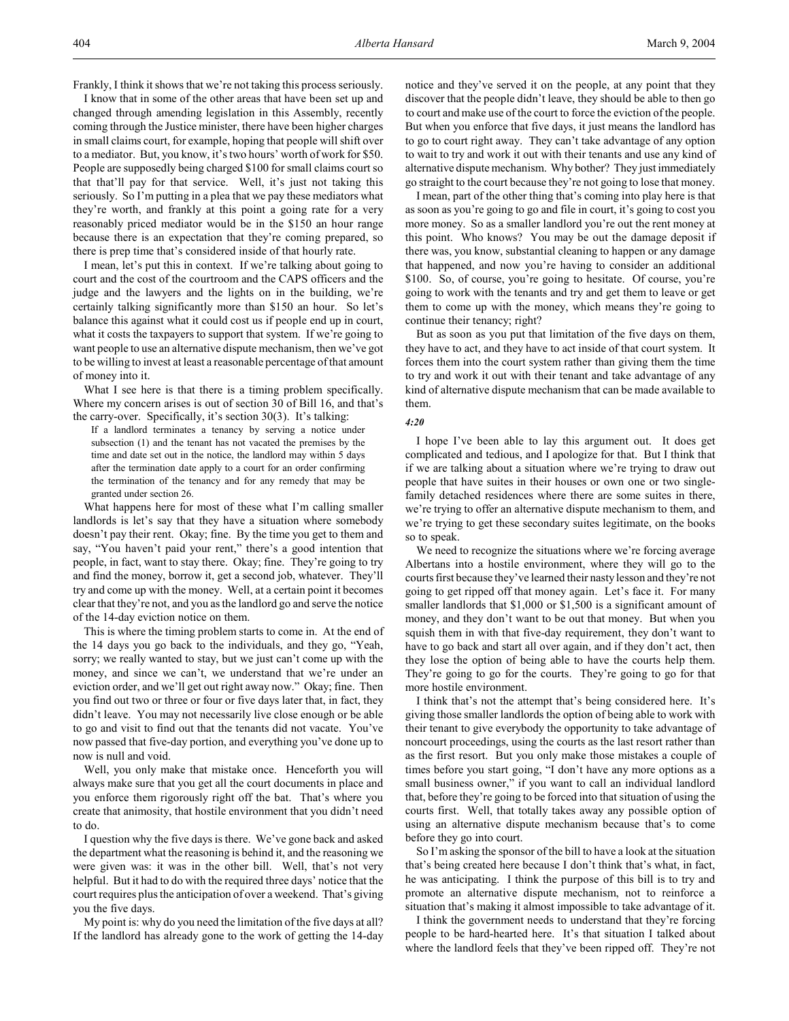I know that in some of the other areas that have been set up and changed through amending legislation in this Assembly, recently coming through the Justice minister, there have been higher charges in small claims court, for example, hoping that people will shift over to a mediator. But, you know, it's two hours' worth of work for \$50. People are supposedly being charged \$100 for small claims court so that that'll pay for that service. Well, it's just not taking this seriously. So I'm putting in a plea that we pay these mediators what they're worth, and frankly at this point a going rate for a very reasonably priced mediator would be in the \$150 an hour range because there is an expectation that they're coming prepared, so there is prep time that's considered inside of that hourly rate.

I mean, let's put this in context. If we're talking about going to court and the cost of the courtroom and the CAPS officers and the judge and the lawyers and the lights on in the building, we're certainly talking significantly more than \$150 an hour. So let's balance this against what it could cost us if people end up in court, what it costs the taxpayers to support that system. If we're going to want people to use an alternative dispute mechanism, then we've got to be willing to invest at least a reasonable percentage of that amount of money into it.

What I see here is that there is a timing problem specifically. Where my concern arises is out of section 30 of Bill 16, and that's the carry-over. Specifically, it's section 30(3). It's talking:

If a landlord terminates a tenancy by serving a notice under subsection (1) and the tenant has not vacated the premises by the time and date set out in the notice, the landlord may within 5 days after the termination date apply to a court for an order confirming the termination of the tenancy and for any remedy that may be granted under section 26.

What happens here for most of these what I'm calling smaller landlords is let's say that they have a situation where somebody doesn't pay their rent. Okay; fine. By the time you get to them and say, "You haven't paid your rent," there's a good intention that people, in fact, want to stay there. Okay; fine. They're going to try and find the money, borrow it, get a second job, whatever. They'll try and come up with the money. Well, at a certain point it becomes clear that they're not, and you as the landlord go and serve the notice of the 14-day eviction notice on them.

This is where the timing problem starts to come in. At the end of the 14 days you go back to the individuals, and they go, "Yeah, sorry; we really wanted to stay, but we just can't come up with the money, and since we can't, we understand that we're under an eviction order, and we'll get out right away now." Okay; fine. Then you find out two or three or four or five days later that, in fact, they didn't leave. You may not necessarily live close enough or be able to go and visit to find out that the tenants did not vacate. You've now passed that five-day portion, and everything you've done up to now is null and void.

Well, you only make that mistake once. Henceforth you will always make sure that you get all the court documents in place and you enforce them rigorously right off the bat. That's where you create that animosity, that hostile environment that you didn't need to do.

I question why the five days is there. We've gone back and asked the department what the reasoning is behind it, and the reasoning we were given was: it was in the other bill. Well, that's not very helpful. But it had to do with the required three days' notice that the court requires plus the anticipation of over a weekend. That's giving you the five days.

My point is: why do you need the limitation of the five days at all? If the landlord has already gone to the work of getting the 14-day notice and they've served it on the people, at any point that they discover that the people didn't leave, they should be able to then go to court and make use of the court to force the eviction of the people. But when you enforce that five days, it just means the landlord has to go to court right away. They can't take advantage of any option to wait to try and work it out with their tenants and use any kind of alternative dispute mechanism. Why bother? They just immediately go straight to the court because they're not going to lose that money.

I mean, part of the other thing that's coming into play here is that as soon as you're going to go and file in court, it's going to cost you more money. So as a smaller landlord you're out the rent money at this point. Who knows? You may be out the damage deposit if there was, you know, substantial cleaning to happen or any damage that happened, and now you're having to consider an additional \$100. So, of course, you're going to hesitate. Of course, you're going to work with the tenants and try and get them to leave or get them to come up with the money, which means they're going to continue their tenancy; right?

But as soon as you put that limitation of the five days on them, they have to act, and they have to act inside of that court system. It forces them into the court system rather than giving them the time to try and work it out with their tenant and take advantage of any kind of alternative dispute mechanism that can be made available to them.

#### *4:20*

I hope I've been able to lay this argument out. It does get complicated and tedious, and I apologize for that. But I think that if we are talking about a situation where we're trying to draw out people that have suites in their houses or own one or two singlefamily detached residences where there are some suites in there, we're trying to offer an alternative dispute mechanism to them, and we're trying to get these secondary suites legitimate, on the books so to speak.

We need to recognize the situations where we're forcing average Albertans into a hostile environment, where they will go to the courts first because they've learned their nasty lesson and they're not going to get ripped off that money again. Let's face it. For many smaller landlords that \$1,000 or \$1,500 is a significant amount of money, and they don't want to be out that money. But when you squish them in with that five-day requirement, they don't want to have to go back and start all over again, and if they don't act, then they lose the option of being able to have the courts help them. They're going to go for the courts. They're going to go for that more hostile environment.

I think that's not the attempt that's being considered here. It's giving those smaller landlords the option of being able to work with their tenant to give everybody the opportunity to take advantage of noncourt proceedings, using the courts as the last resort rather than as the first resort. But you only make those mistakes a couple of times before you start going, "I don't have any more options as a small business owner," if you want to call an individual landlord that, before they're going to be forced into that situation of using the courts first. Well, that totally takes away any possible option of using an alternative dispute mechanism because that's to come before they go into court.

So I'm asking the sponsor of the bill to have a look at the situation that's being created here because I don't think that's what, in fact, he was anticipating. I think the purpose of this bill is to try and promote an alternative dispute mechanism, not to reinforce a situation that's making it almost impossible to take advantage of it.

I think the government needs to understand that they're forcing people to be hard-hearted here. It's that situation I talked about where the landlord feels that they've been ripped off. They're not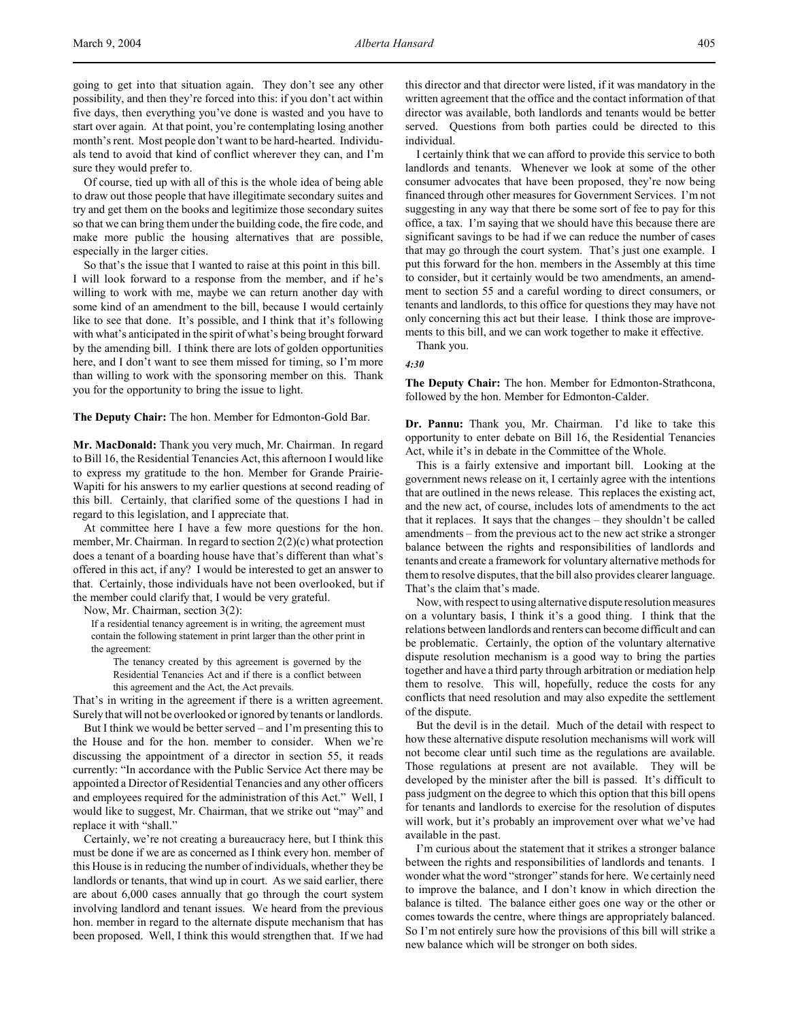going to get into that situation again. They don't see any other possibility, and then they're forced into this: if you don't act within five days, then everything you've done is wasted and you have to start over again. At that point, you're contemplating losing another month's rent. Most people don't want to be hard-hearted. Individuals tend to avoid that kind of conflict wherever they can, and I'm sure they would prefer to.

Of course, tied up with all of this is the whole idea of being able to draw out those people that have illegitimate secondary suites and try and get them on the books and legitimize those secondary suites so that we can bring them under the building code, the fire code, and make more public the housing alternatives that are possible, especially in the larger cities.

So that's the issue that I wanted to raise at this point in this bill. I will look forward to a response from the member, and if he's willing to work with me, maybe we can return another day with some kind of an amendment to the bill, because I would certainly like to see that done. It's possible, and I think that it's following with what's anticipated in the spirit of what's being brought forward by the amending bill. I think there are lots of golden opportunities here, and I don't want to see them missed for timing, so I'm more than willing to work with the sponsoring member on this. Thank you for the opportunity to bring the issue to light.

**The Deputy Chair:** The hon. Member for Edmonton-Gold Bar.

**Mr. MacDonald:** Thank you very much, Mr. Chairman. In regard to Bill 16, the Residential Tenancies Act, this afternoon I would like to express my gratitude to the hon. Member for Grande Prairie-Wapiti for his answers to my earlier questions at second reading of this bill. Certainly, that clarified some of the questions I had in regard to this legislation, and I appreciate that.

At committee here I have a few more questions for the hon. member, Mr. Chairman. In regard to section 2(2)(c) what protection does a tenant of a boarding house have that's different than what's offered in this act, if any? I would be interested to get an answer to that. Certainly, those individuals have not been overlooked, but if the member could clarify that, I would be very grateful.

Now, Mr. Chairman, section 3(2):

If a residential tenancy agreement is in writing, the agreement must contain the following statement in print larger than the other print in the agreement:

The tenancy created by this agreement is governed by the Residential Tenancies Act and if there is a conflict between this agreement and the Act, the Act prevails.

That's in writing in the agreement if there is a written agreement. Surely that will not be overlooked or ignored by tenants or landlords.

But I think we would be better served – and I'm presenting this to the House and for the hon. member to consider. When we're discussing the appointment of a director in section 55, it reads currently: "In accordance with the Public Service Act there may be appointed a Director of Residential Tenancies and any other officers and employees required for the administration of this Act." Well, I would like to suggest, Mr. Chairman, that we strike out "may" and replace it with "shall."

Certainly, we're not creating a bureaucracy here, but I think this must be done if we are as concerned as I think every hon. member of this House is in reducing the number of individuals, whether they be landlords or tenants, that wind up in court. As we said earlier, there are about 6,000 cases annually that go through the court system involving landlord and tenant issues. We heard from the previous hon. member in regard to the alternate dispute mechanism that has been proposed. Well, I think this would strengthen that. If we had

this director and that director were listed, if it was mandatory in the written agreement that the office and the contact information of that director was available, both landlords and tenants would be better served. Questions from both parties could be directed to this individual.

I certainly think that we can afford to provide this service to both landlords and tenants. Whenever we look at some of the other consumer advocates that have been proposed, they're now being financed through other measures for Government Services. I'm not suggesting in any way that there be some sort of fee to pay for this office, a tax. I'm saying that we should have this because there are significant savings to be had if we can reduce the number of cases that may go through the court system. That's just one example. I put this forward for the hon. members in the Assembly at this time to consider, but it certainly would be two amendments, an amendment to section 55 and a careful wording to direct consumers, or tenants and landlords, to this office for questions they may have not only concerning this act but their lease. I think those are improvements to this bill, and we can work together to make it effective.

Thank you.

#### *4:30*

**The Deputy Chair:** The hon. Member for Edmonton-Strathcona, followed by the hon. Member for Edmonton-Calder.

**Dr. Pannu:** Thank you, Mr. Chairman. I'd like to take this opportunity to enter debate on Bill 16, the Residential Tenancies Act, while it's in debate in the Committee of the Whole.

This is a fairly extensive and important bill. Looking at the government news release on it, I certainly agree with the intentions that are outlined in the news release. This replaces the existing act, and the new act, of course, includes lots of amendments to the act that it replaces. It says that the changes – they shouldn't be called amendments – from the previous act to the new act strike a stronger balance between the rights and responsibilities of landlords and tenants and create a framework for voluntary alternative methods for them to resolve disputes, that the bill also provides clearer language. That's the claim that's made.

Now, with respect to using alternative dispute resolution measures on a voluntary basis, I think it's a good thing. I think that the relations between landlords and renters can become difficult and can be problematic. Certainly, the option of the voluntary alternative dispute resolution mechanism is a good way to bring the parties together and have a third party through arbitration or mediation help them to resolve. This will, hopefully, reduce the costs for any conflicts that need resolution and may also expedite the settlement of the dispute.

But the devil is in the detail. Much of the detail with respect to how these alternative dispute resolution mechanisms will work will not become clear until such time as the regulations are available. Those regulations at present are not available. They will be developed by the minister after the bill is passed. It's difficult to pass judgment on the degree to which this option that this bill opens for tenants and landlords to exercise for the resolution of disputes will work, but it's probably an improvement over what we've had available in the past.

I'm curious about the statement that it strikes a stronger balance between the rights and responsibilities of landlords and tenants. I wonder what the word "stronger" stands for here. We certainly need to improve the balance, and I don't know in which direction the balance is tilted. The balance either goes one way or the other or comes towards the centre, where things are appropriately balanced. So I'm not entirely sure how the provisions of this bill will strike a new balance which will be stronger on both sides.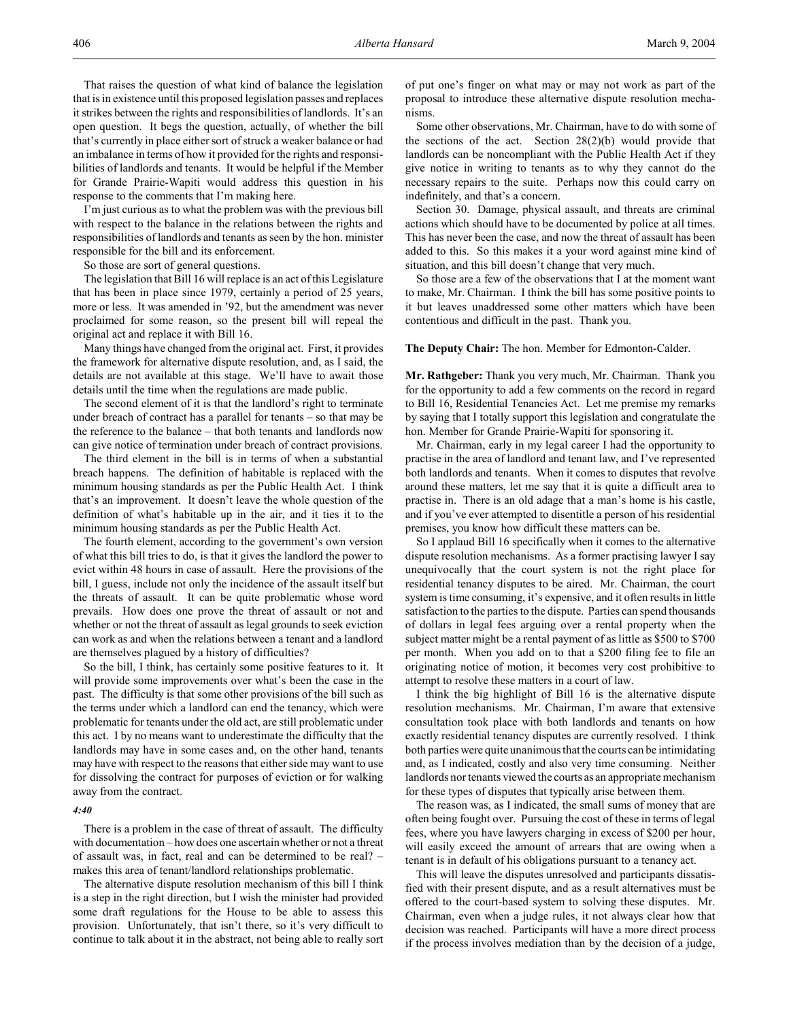I'm just curious as to what the problem was with the previous bill with respect to the balance in the relations between the rights and responsibilities of landlords and tenants as seen by the hon. minister responsible for the bill and its enforcement.

So those are sort of general questions.

The legislation that Bill 16 will replace is an act of this Legislature that has been in place since 1979, certainly a period of 25 years, more or less. It was amended in '92, but the amendment was never proclaimed for some reason, so the present bill will repeal the original act and replace it with Bill 16.

Many things have changed from the original act. First, it provides the framework for alternative dispute resolution, and, as I said, the details are not available at this stage. We'll have to await those details until the time when the regulations are made public.

The second element of it is that the landlord's right to terminate under breach of contract has a parallel for tenants – so that may be the reference to the balance – that both tenants and landlords now can give notice of termination under breach of contract provisions.

The third element in the bill is in terms of when a substantial breach happens. The definition of habitable is replaced with the minimum housing standards as per the Public Health Act. I think that's an improvement. It doesn't leave the whole question of the definition of what's habitable up in the air, and it ties it to the minimum housing standards as per the Public Health Act.

The fourth element, according to the government's own version of what this bill tries to do, is that it gives the landlord the power to evict within 48 hours in case of assault. Here the provisions of the bill, I guess, include not only the incidence of the assault itself but the threats of assault. It can be quite problematic whose word prevails. How does one prove the threat of assault or not and whether or not the threat of assault as legal grounds to seek eviction can work as and when the relations between a tenant and a landlord are themselves plagued by a history of difficulties?

So the bill, I think, has certainly some positive features to it. It will provide some improvements over what's been the case in the past. The difficulty is that some other provisions of the bill such as the terms under which a landlord can end the tenancy, which were problematic for tenants under the old act, are still problematic under this act. I by no means want to underestimate the difficulty that the landlords may have in some cases and, on the other hand, tenants may have with respect to the reasons that either side may want to use for dissolving the contract for purposes of eviction or for walking away from the contract.

#### *4:40*

There is a problem in the case of threat of assault. The difficulty with documentation – how does one ascertain whether or not a threat of assault was, in fact, real and can be determined to be real? – makes this area of tenant/landlord relationships problematic.

The alternative dispute resolution mechanism of this bill I think is a step in the right direction, but I wish the minister had provided some draft regulations for the House to be able to assess this provision. Unfortunately, that isn't there, so it's very difficult to continue to talk about it in the abstract, not being able to really sort of put one's finger on what may or may not work as part of the proposal to introduce these alternative dispute resolution mechanisms.

Some other observations, Mr. Chairman, have to do with some of the sections of the act. Section 28(2)(b) would provide that landlords can be noncompliant with the Public Health Act if they give notice in writing to tenants as to why they cannot do the necessary repairs to the suite. Perhaps now this could carry on indefinitely, and that's a concern.

Section 30. Damage, physical assault, and threats are criminal actions which should have to be documented by police at all times. This has never been the case, and now the threat of assault has been added to this. So this makes it a your word against mine kind of situation, and this bill doesn't change that very much.

So those are a few of the observations that I at the moment want to make, Mr. Chairman. I think the bill has some positive points to it but leaves unaddressed some other matters which have been contentious and difficult in the past. Thank you.

**The Deputy Chair:** The hon. Member for Edmonton-Calder.

**Mr. Rathgeber:** Thank you very much, Mr. Chairman. Thank you for the opportunity to add a few comments on the record in regard to Bill 16, Residential Tenancies Act. Let me premise my remarks by saying that I totally support this legislation and congratulate the hon. Member for Grande Prairie-Wapiti for sponsoring it.

Mr. Chairman, early in my legal career I had the opportunity to practise in the area of landlord and tenant law, and I've represented both landlords and tenants. When it comes to disputes that revolve around these matters, let me say that it is quite a difficult area to practise in. There is an old adage that a man's home is his castle, and if you've ever attempted to disentitle a person of his residential premises, you know how difficult these matters can be.

So I applaud Bill 16 specifically when it comes to the alternative dispute resolution mechanisms. As a former practising lawyer I say unequivocally that the court system is not the right place for residential tenancy disputes to be aired. Mr. Chairman, the court system is time consuming, it's expensive, and it often results in little satisfaction to the parties to the dispute. Parties can spend thousands of dollars in legal fees arguing over a rental property when the subject matter might be a rental payment of as little as \$500 to \$700 per month. When you add on to that a \$200 filing fee to file an originating notice of motion, it becomes very cost prohibitive to attempt to resolve these matters in a court of law.

I think the big highlight of Bill 16 is the alternative dispute resolution mechanisms. Mr. Chairman, I'm aware that extensive consultation took place with both landlords and tenants on how exactly residential tenancy disputes are currently resolved. I think both parties were quite unanimous that the courts can be intimidating and, as I indicated, costly and also very time consuming. Neither landlords nor tenants viewed the courts as an appropriate mechanism for these types of disputes that typically arise between them.

The reason was, as I indicated, the small sums of money that are often being fought over. Pursuing the cost of these in terms of legal fees, where you have lawyers charging in excess of \$200 per hour, will easily exceed the amount of arrears that are owing when a tenant is in default of his obligations pursuant to a tenancy act.

This will leave the disputes unresolved and participants dissatisfied with their present dispute, and as a result alternatives must be offered to the court-based system to solving these disputes. Mr. Chairman, even when a judge rules, it not always clear how that decision was reached. Participants will have a more direct process if the process involves mediation than by the decision of a judge,